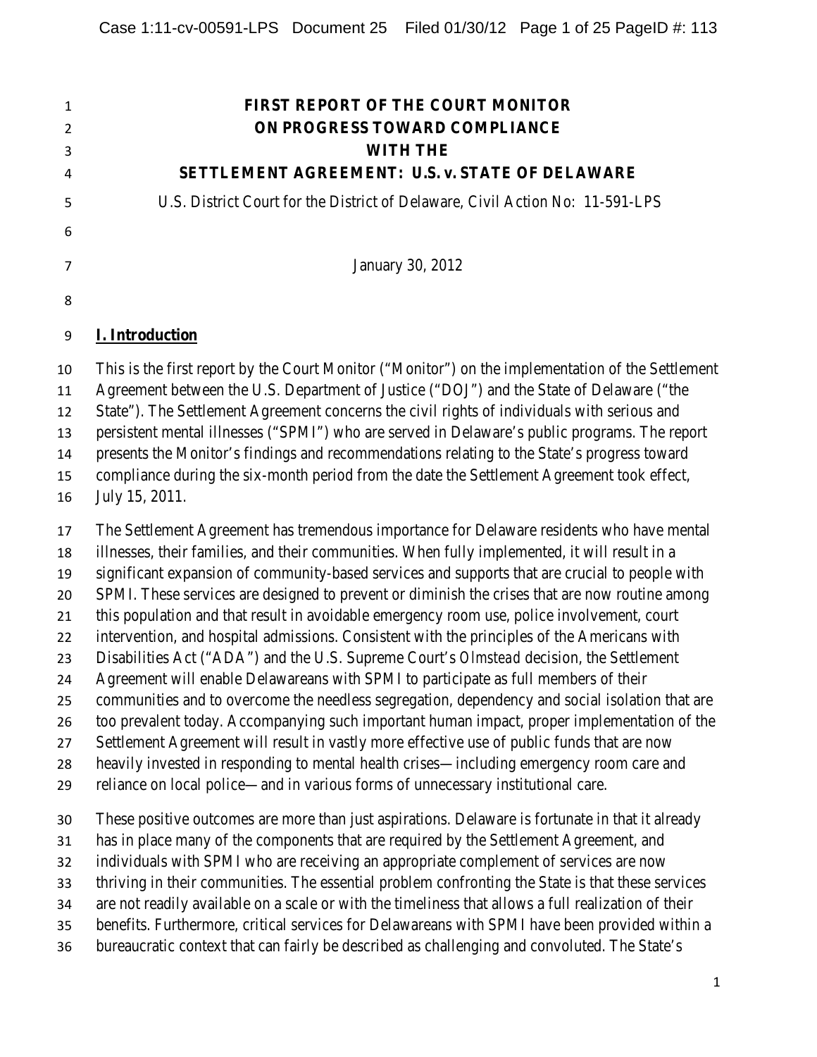| $\mathbf{1}$ | <b>FIRST REPORT OF THE COURT MONITOR</b>                                                                                                                                                      |
|--------------|-----------------------------------------------------------------------------------------------------------------------------------------------------------------------------------------------|
| 2            | ON PROGRESS TOWARD COMPLIANCE                                                                                                                                                                 |
| 3            | <b>WITH THE</b>                                                                                                                                                                               |
| 4            | SETTLEMENT AGREEMENT: U.S. v. STATE OF DELAWARE                                                                                                                                               |
| 5            | U.S. District Court for the District of Delaware, Civil Action No: 11-591-LPS                                                                                                                 |
| 6            |                                                                                                                                                                                               |
| 7            | January 30, 2012                                                                                                                                                                              |
| 8            |                                                                                                                                                                                               |
| 9            | <b>I. Introduction</b>                                                                                                                                                                        |
| 10<br>11     | This is the first report by the Court Monitor ("Monitor") on the implementation of the Settlement<br>Agreement between the U.S. Department of Justice ("DOJ") and the State of Delaware ("the |
| 12           | State"). The Settlement Agreement concerns the civil rights of individuals with serious and                                                                                                   |
| 13           | persistent mental illnesses ("SPMI") who are served in Delaware's public programs. The report                                                                                                 |
| 14           | presents the Monitor's findings and recommendations relating to the State's progress toward                                                                                                   |
| 15           | compliance during the six-month period from the date the Settlement Agreement took effect,                                                                                                    |
| 16           | July 15, 2011.                                                                                                                                                                                |
| 17           | The Settlement Agreement has tremendous importance for Delaware residents who have mental                                                                                                     |
| 18           | illnesses, their families, and their communities. When fully implemented, it will result in a                                                                                                 |
| 19           | significant expansion of community-based services and supports that are crucial to people with                                                                                                |
|              |                                                                                                                                                                                               |

SPMI. These services are designed to prevent or diminish the crises that are now routine among

- this population and that result in avoidable emergency room use, police involvement, court
- intervention, and hospital admissions. Consistent with the principles of the Americans with
- Disabilities Act ("ADA") and the U.S. Supreme Court's *Olmstead* decision, the Settlement
- Agreement will enable Delawareans with SPMI to participate as full members of their
- communities and to overcome the needless segregation, dependency and social isolation that are
- too prevalent today. Accompanying such important human impact, proper implementation of the
- Settlement Agreement will result in vastly more effective use of public funds that are now
- heavily invested in responding to mental health crises—including emergency room care and
- reliance on local police—and in various forms of unnecessary institutional care.

These positive outcomes are more than just aspirations. Delaware is fortunate in that it already

- has in place many of the components that are required by the Settlement Agreement, and
- individuals with SPMI who are receiving an appropriate complement of services are now
- thriving in their communities. The essential problem confronting the State is that these services
- are not readily available on a scale or with the timeliness that allows a full realization of their
- benefits. Furthermore, critical services for Delawareans with SPMI have been provided within a
- bureaucratic context that can fairly be described as challenging and convoluted. The State's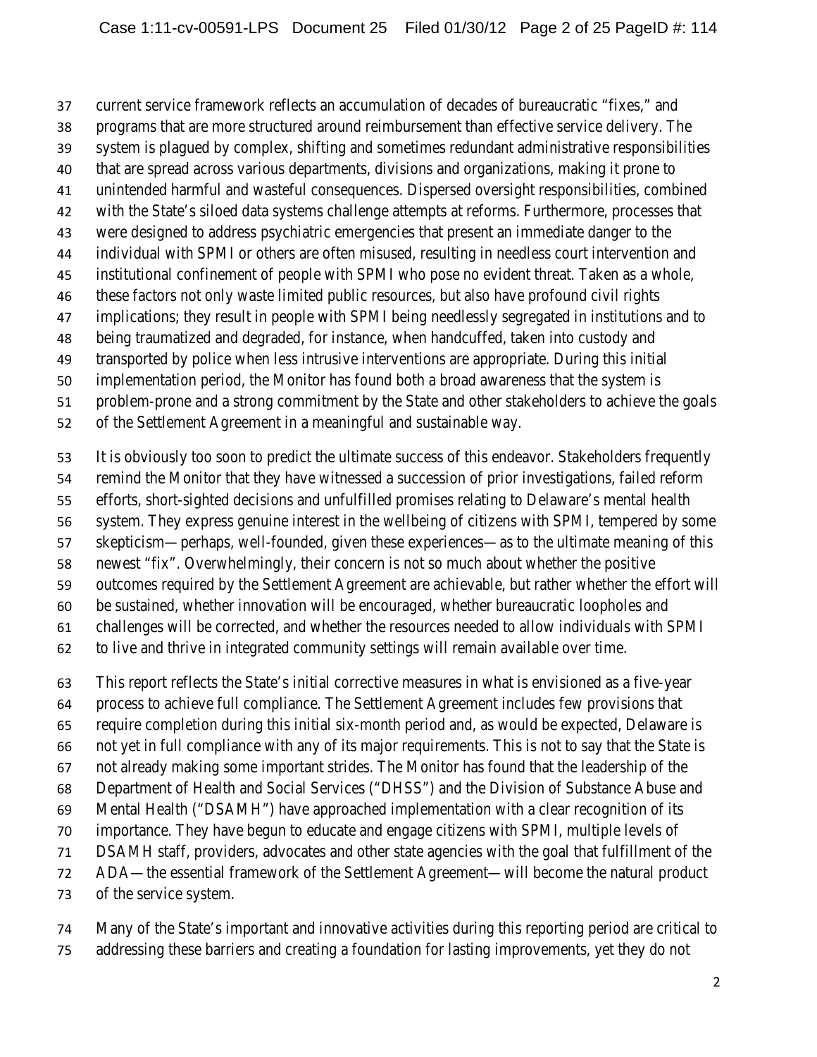current service framework reflects an accumulation of decades of bureaucratic "fixes," and

- programs that are more structured around reimbursement than effective service delivery. The
- system is plagued by complex, shifting and sometimes redundant administrative responsibilities
- that are spread across various departments, divisions and organizations, making it prone to
- unintended harmful and wasteful consequences. Dispersed oversight responsibilities, combined
- with the State's siloed data systems challenge attempts at reforms. Furthermore, processes that
- were designed to address psychiatric emergencies that present an immediate danger to the
- individual with SPMI or others are often misused, resulting in needless court intervention and
- institutional confinement of people with SPMI who pose no evident threat. Taken as a whole,
- these factors not only waste limited public resources, but also have profound civil rights
- implications; they result in people with SPMI being needlessly segregated in institutions and to
- being traumatized and degraded, for instance, when handcuffed, taken into custody and
- transported by police when less intrusive interventions are appropriate. During this initial
- implementation period, the Monitor has found both a broad awareness that the system is
- problem-prone and a strong commitment by the State and other stakeholders to achieve the goals
- of the Settlement Agreement in a meaningful and sustainable way.
- It is obviously too soon to predict the ultimate success of this endeavor. Stakeholders frequently
- remind the Monitor that they have witnessed a succession of prior investigations, failed reform
- efforts, short-sighted decisions and unfulfilled promises relating to Delaware's mental health
- system. They express genuine interest in the wellbeing of citizens with SPMI, tempered by some
- skepticism—perhaps, well-founded, given these experiences—as to the ultimate meaning of this
- newest "fix". Overwhelmingly, their concern is not so much about whether the positive
- outcomes required by the Settlement Agreement are achievable, but rather whether the effort will
- be sustained, whether innovation will be encouraged, whether bureaucratic loopholes and
- challenges will be corrected, and whether the resources needed to allow individuals with SPMI
- to live and thrive in integrated community settings will remain available over time.
- This report reflects the State's initial corrective measures in what is envisioned as a five-year
- process to achieve full compliance. The Settlement Agreement includes few provisions that
- require completion during this initial six-month period and, as would be expected, Delaware is
- not yet in full compliance with any of its major requirements. This is not to say that the State is
- not already making some important strides. The Monitor has found that the leadership of the
- Department of Health and Social Services ("DHSS") and the Division of Substance Abuse and
- Mental Health ("DSAMH") have approached implementation with a clear recognition of its
- importance. They have begun to educate and engage citizens with SPMI, multiple levels of
- DSAMH staff, providers, advocates and other state agencies with the goal that fulfillment of the
- ADA—the essential framework of the Settlement Agreement—will become the natural product
- of the service system.
- Many of the State's important and innovative activities during this reporting period are critical to
- addressing these barriers and creating a foundation for lasting improvements, yet they do not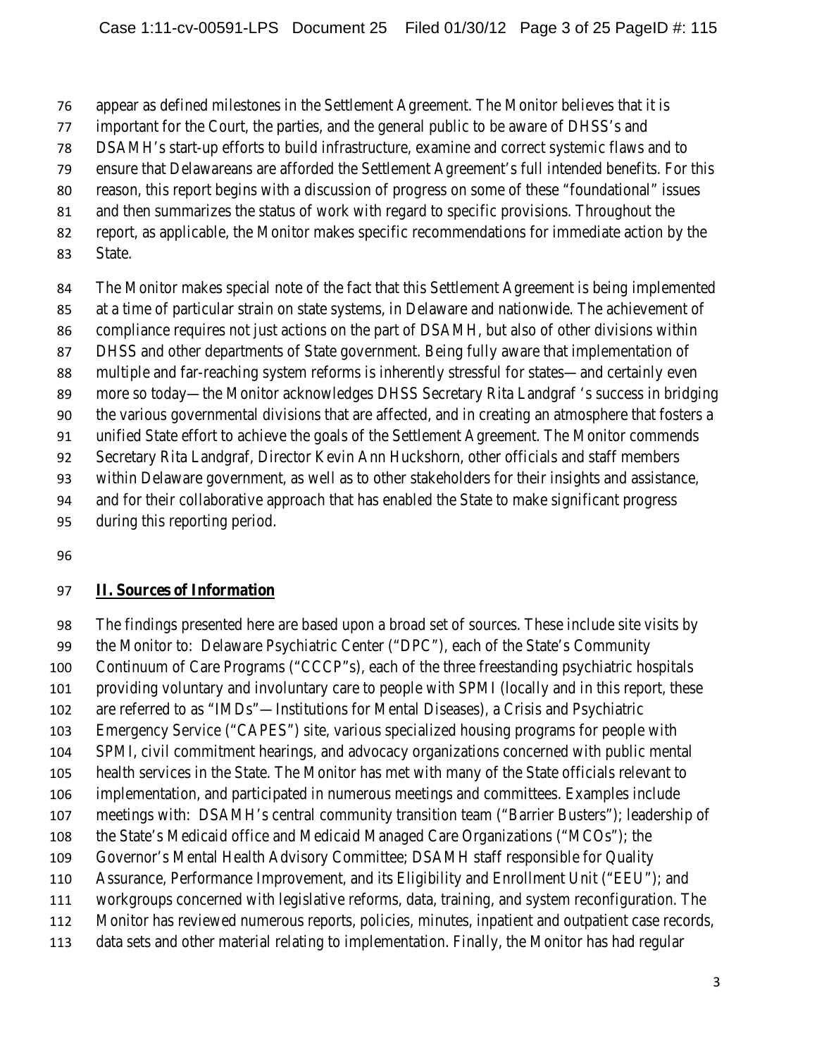appear as defined milestones in the Settlement Agreement. The Monitor believes that it is

- important for the Court, the parties, and the general public to be aware of DHSS's and
- DSAMH's start-up efforts to build infrastructure, examine and correct systemic flaws and to
- ensure that Delawareans are afforded the Settlement Agreement's full intended benefits. For this
- reason, this report begins with a discussion of progress on some of these "foundational" issues
- and then summarizes the status of work with regard to specific provisions. Throughout the
- report, as applicable, the Monitor makes specific recommendations for immediate action by the
- State.

The Monitor makes special note of the fact that this Settlement Agreement is being implemented

at a time of particular strain on state systems, in Delaware and nationwide. The achievement of

- compliance requires not just actions on the part of DSAMH, but also of other divisions within
- DHSS and other departments of State government. Being fully aware that implementation of
- multiple and far-reaching system reforms is inherently stressful for states—and certainly even
- more so today—the Monitor acknowledges DHSS Secretary Rita Landgraf 's success in bridging

the various governmental divisions that are affected, and in creating an atmosphere that fosters a

unified State effort to achieve the goals of the Settlement Agreement. The Monitor commends

Secretary Rita Landgraf, Director Kevin Ann Huckshorn, other officials and staff members

within Delaware government, as well as to other stakeholders for their insights and assistance,

and for their collaborative approach that has enabled the State to make significant progress

- during this reporting period.
- 

#### **II. Sources of Information**

The findings presented here are based upon a broad set of sources. These include site visits by

the Monitor to: Delaware Psychiatric Center ("DPC"), each of the State's Community

Continuum of Care Programs ("CCCP"s), each of the three freestanding psychiatric hospitals

providing voluntary and involuntary care to people with SPMI (locally and in this report, these

are referred to as "IMDs"—Institutions for Mental Diseases), a Crisis and Psychiatric

Emergency Service ("CAPES") site, various specialized housing programs for people with

SPMI, civil commitment hearings, and advocacy organizations concerned with public mental

health services in the State. The Monitor has met with many of the State officials relevant to

implementation, and participated in numerous meetings and committees. Examples include

meetings with: DSAMH's central community transition team ("Barrier Busters"); leadership of

- the State's Medicaid office and Medicaid Managed Care Organizations ("MCOs"); the
- Governor's Mental Health Advisory Committee; DSAMH staff responsible for Quality
- Assurance, Performance Improvement, and its Eligibility and Enrollment Unit ("EEU"); and
- workgroups concerned with legislative reforms, data, training, and system reconfiguration. The
- Monitor has reviewed numerous reports, policies, minutes, inpatient and outpatient case records,
- data sets and other material relating to implementation. Finally, the Monitor has had regular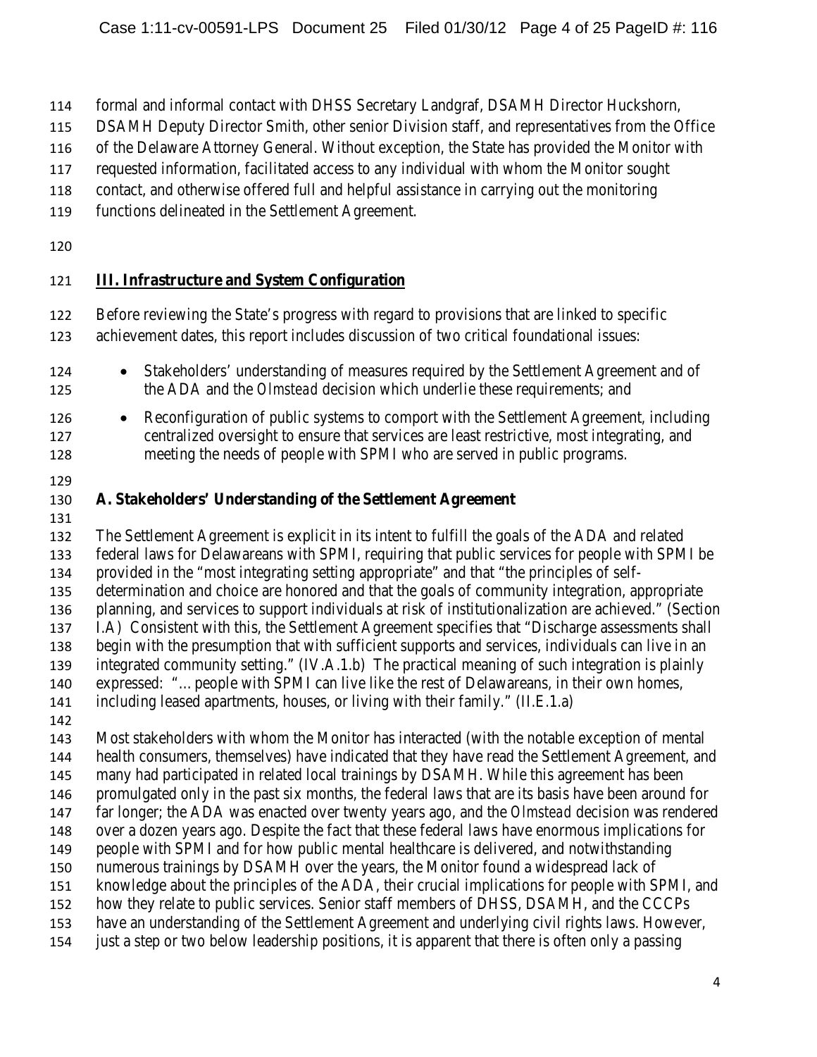- formal and informal contact with DHSS Secretary Landgraf, DSAMH Director Huckshorn,
- DSAMH Deputy Director Smith, other senior Division staff, and representatives from the Office
- of the Delaware Attorney General. Without exception, the State has provided the Monitor with
- requested information, facilitated access to any individual with whom the Monitor sought
- contact, and otherwise offered full and helpful assistance in carrying out the monitoring
- functions delineated in the Settlement Agreement.
- 

## **III. Infrastructure and System Configuration**

- Before reviewing the State's progress with regard to provisions that are linked to specific
- achievement dates, this report includes discussion of two critical foundational issues:
- Stakeholders' understanding of measures required by the Settlement Agreement and of the ADA and the *Olmstead* decision which underlie these requirements; and
- Reconfiguration of public systems to comport with the Settlement Agreement*,* including centralized oversight to ensure that services are least restrictive, most integrating, and meeting the needs of people with SPMI who are served in public programs.
- 

## **A. Stakeholders' Understanding of the Settlement Agreement**

 The Settlement Agreement is explicit in its intent to fulfill the goals of the ADA and related federal laws for Delawareans with SPMI, requiring that public services for people with SPMI be provided in the "most integrating setting appropriate" and that "the principles of self- determination and choice are honored and that the goals of community integration, appropriate planning, and services to support individuals at risk of institutionalization are achieved." (Section I.A) Consistent with this, the Settlement Agreement specifies that "Discharge assessments shall begin with the presumption that with sufficient supports and services, individuals can live in an integrated community setting." (IV.A.1.b) The practical meaning of such integration is plainly expressed: "…people with SPMI can live like the rest of Delawareans, in their own homes, including leased apartments, houses, or living with their family." (II.E.1.a) Most stakeholders with whom the Monitor has interacted (with the notable exception of mental health consumers, themselves) have indicated that they have read the Settlement Agreement, and many had participated in related local trainings by DSAMH. While this agreement has been promulgated only in the past six months, the federal laws that are its basis have been around for far longer; the ADA was enacted over twenty years ago, and the *Olmstead* decision was rendered over a dozen years ago. Despite the fact that these federal laws have enormous implications for people with SPMI and for how public mental healthcare is delivered, and notwithstanding numerous trainings by DSAMH over the years, the Monitor found a widespread lack of knowledge about the principles of the ADA, their crucial implications for people with SPMI, and how they relate to public services. Senior staff members of DHSS, DSAMH, and the CCCPs have an understanding of the Settlement Agreement and underlying civil rights laws. However,

just a step or two below leadership positions, it is apparent that there is often only a passing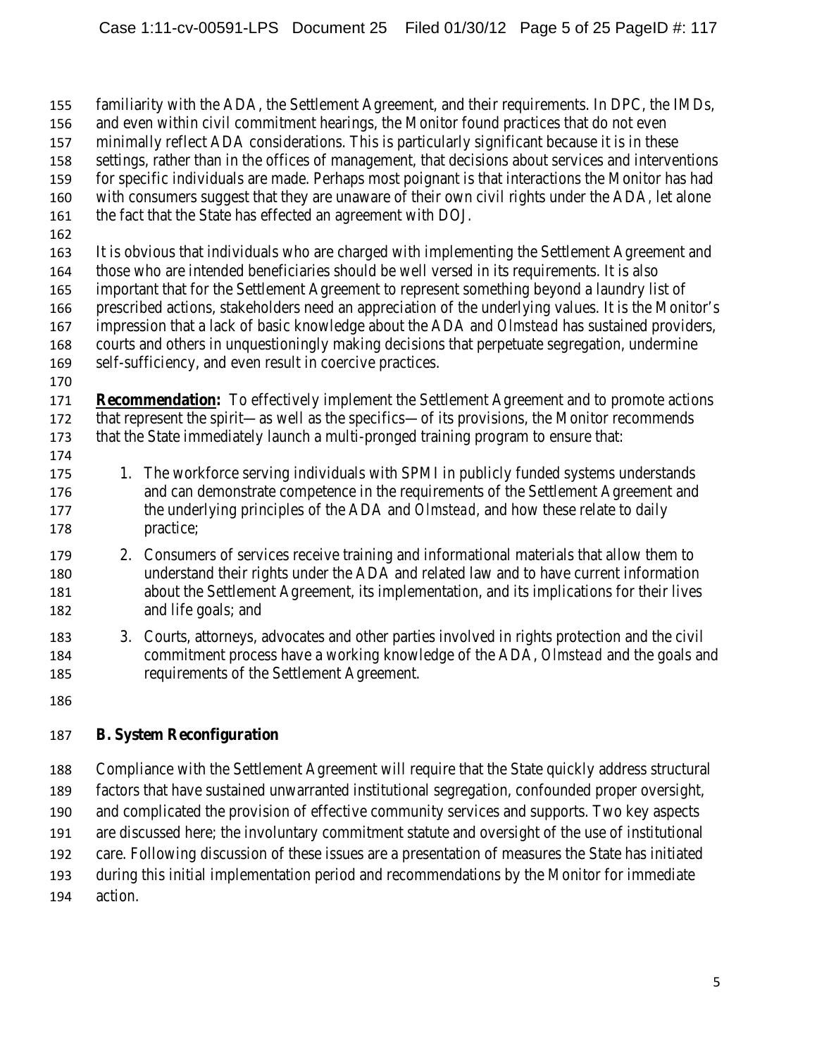- familiarity with the ADA, the Settlement Agreement, and their requirements. In DPC, the IMDs,
- and even within civil commitment hearings, the Monitor found practices that do not even
- minimally reflect ADA considerations. This is particularly significant because it is in these
- settings, rather than in the offices of management, that decisions about services and interventions
- for specific individuals are made. Perhaps most poignant is that interactions the Monitor has had
- with consumers suggest that they are unaware of their own civil rights under the ADA*,* let alone
- the fact that the State has effected an agreement with DOJ*.*
- 
- It is obvious that individuals who are charged with implementing the Settlement Agreement and
- those who are intended beneficiaries should be well versed in its requirements. It is also important that for the Settlement Agreement to represent something beyond a laundry list of
- prescribed actions, stakeholders need an appreciation of the underlying values. It is the Monitor's
- impression that a lack of basic knowledge about the ADA and *Olmstead* has sustained providers,
- courts and others in unquestioningly making decisions that perpetuate segregation, undermine
- self-sufficiency, and even result in coercive practices.
- **Recommendation:** To effectively implement the Settlement Agreement and to promote actions that represent the spirit—as well as the specifics—of its provisions, the Monitor recommends that the State immediately launch a multi-pronged training program to ensure that:
- 175 1. The workforce serving individuals with SPMI in publicly funded systems understands and can demonstrate competence in the requirements of the Settlement Agreement and the underlying principles of the ADA and *Olmstead,* and how these relate to daily practice;
- 2. Consumers of services receive training and informational materials that allow them to understand their rights under the ADA and related law and to have current information about the Settlement Agreement, its implementation, and its implications for their lives and life goals; and
- 3. Courts, attorneys, advocates and other parties involved in rights protection and the civil commitment process have a working knowledge of the ADA, *Olmstead* and the goals and requirements of the Settlement Agreement.
- 

# **B. System Reconfiguration**

- Compliance with the Settlement Agreement will require that the State quickly address structural
- factors that have sustained unwarranted institutional segregation, confounded proper oversight,
- and complicated the provision of effective community services and supports. Two key aspects
- are discussed here; the involuntary commitment statute and oversight of the use of institutional
- care. Following discussion of these issues are a presentation of measures the State has initiated
- during this initial implementation period and recommendations by the Monitor for immediate
- action.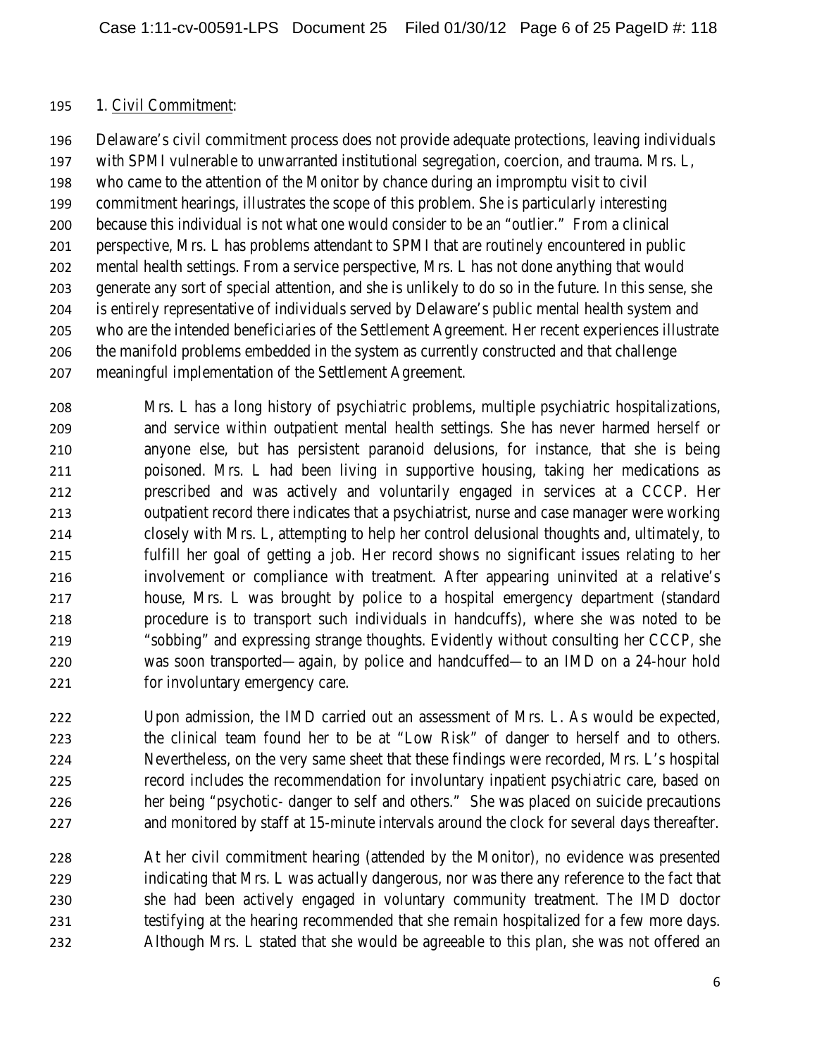#### 1. Civil Commitment:

 Delaware's civil commitment process does not provide adequate protections, leaving individuals with SPMI vulnerable to unwarranted institutional segregation, coercion, and trauma. Mrs. L, who came to the attention of the Monitor by chance during an impromptu visit to civil commitment hearings, illustrates the scope of this problem. She is particularly interesting because this individual is not what one would consider to be an "outlier." From a clinical perspective, Mrs. L has problems attendant to SPMI that are routinely encountered in public mental health settings. From a service perspective, Mrs. L has not done anything that would generate any sort of special attention, and she is unlikely to do so in the future. In this sense, she is entirely representative of individuals served by Delaware's public mental health system and who are the intended beneficiaries of the Settlement Agreement. Her recent experiences illustrate the manifold problems embedded in the system as currently constructed and that challenge meaningful implementation of the Settlement Agreement.

 Mrs. L has a long history of psychiatric problems, multiple psychiatric hospitalizations, and service within outpatient mental health settings. She has never harmed herself or anyone else, but has persistent paranoid delusions, for instance, that she is being poisoned. Mrs. L had been living in supportive housing, taking her medications as prescribed and was actively and voluntarily engaged in services at a CCCP. Her outpatient record there indicates that a psychiatrist, nurse and case manager were working closely with Mrs. L, attempting to help her control delusional thoughts and, ultimately, to fulfill her goal of getting a job. Her record shows no significant issues relating to her involvement or compliance with treatment. After appearing uninvited at a relative's house, Mrs. L was brought by police to a hospital emergency department (standard procedure is to transport such individuals in handcuffs), where she was noted to be "sobbing" and expressing strange thoughts. Evidently without consulting her CCCP, she was soon transported—again, by police and handcuffed—to an IMD on a 24-hour hold for involuntary emergency care.

 Upon admission, the IMD carried out an assessment of Mrs. L. As would be expected, the clinical team found her to be at "Low Risk" of danger to herself and to others. Nevertheless, on the very same sheet that these findings were recorded, Mrs. L's hospital record includes the recommendation for involuntary inpatient psychiatric care, based on her being "psychotic- danger to self and others." She was placed on suicide precautions and monitored by staff at 15-minute intervals around the clock for several days thereafter.

 At her civil commitment hearing (attended by the Monitor), no evidence was presented indicating that Mrs. L was actually dangerous, nor was there any reference to the fact that she had been actively engaged in voluntary community treatment. The IMD doctor 231 testifying at the hearing recommended that she remain hospitalized for a few more days. Although Mrs. L stated that she would be agreeable to this plan, she was not offered an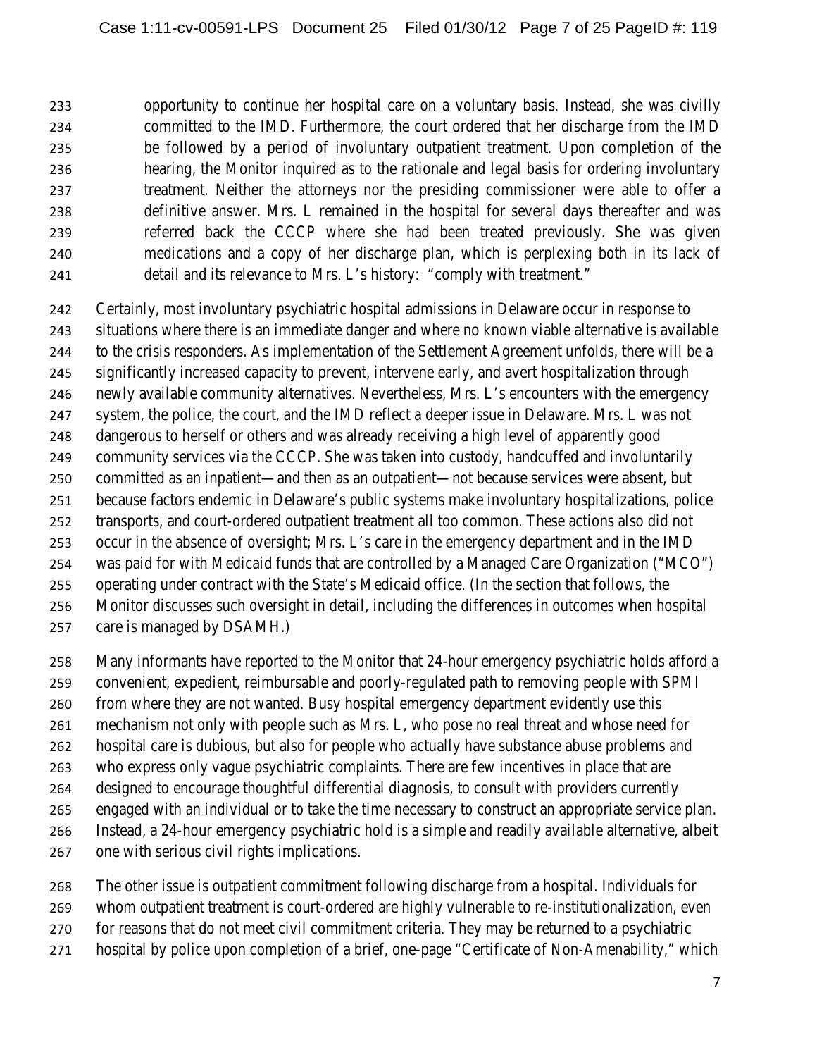opportunity to continue her hospital care on a voluntary basis. Instead, she was civilly committed to the IMD. Furthermore, the court ordered that her discharge from the IMD be followed by a period of involuntary outpatient treatment. Upon completion of the hearing, the Monitor inquired as to the rationale and legal basis for ordering involuntary treatment. Neither the attorneys nor the presiding commissioner were able to offer a definitive answer. Mrs. L remained in the hospital for several days thereafter and was referred back the CCCP where she had been treated previously. She was given medications and a copy of her discharge plan, which is perplexing both in its lack of detail and its relevance to Mrs. L's history: "comply with treatment."

 Certainly, most involuntary psychiatric hospital admissions in Delaware occur in response to situations where there is an immediate danger and where no known viable alternative is available to the crisis responders. As implementation of the Settlement Agreement unfolds, there will be a significantly increased capacity to prevent, intervene early, and avert hospitalization through newly available community alternatives. Nevertheless, Mrs. L's encounters with the emergency system, the police, the court, and the IMD reflect a deeper issue in Delaware. Mrs. L was not dangerous to herself or others and was already receiving a high level of apparently good community services via the CCCP. She was taken into custody, handcuffed and involuntarily committed as an inpatient—and then as an outpatient—not because services were absent, but because factors endemic in Delaware's public systems make involuntary hospitalizations, police transports, and court-ordered outpatient treatment all too common. These actions also did not occur in the absence of oversight; Mrs. L's care in the emergency department and in the IMD was paid for with Medicaid funds that are controlled by a Managed Care Organization ("MCO") operating under contract with the State's Medicaid office. (In the section that follows, the Monitor discusses such oversight in detail, including the differences in outcomes when hospital care is managed by DSAMH.)

Many informants have reported to the Monitor that 24-hour emergency psychiatric holds afford a

- convenient, expedient, reimbursable and poorly-regulated path to removing people with SPMI
- from where they are not wanted. Busy hospital emergency department evidently use this
- mechanism not only with people such as Mrs. L, who pose no real threat and whose need for
- hospital care is dubious, but also for people who actually have substance abuse problems and
- who express only vague psychiatric complaints. There are few incentives in place that are
- designed to encourage thoughtful differential diagnosis, to consult with providers currently
- engaged with an individual or to take the time necessary to construct an appropriate service plan.
- Instead, a 24-hour emergency psychiatric hold is a simple and readily available alternative, albeit
- one with serious civil rights implications.
- The other issue is outpatient commitment following discharge from a hospital. Individuals for
- whom outpatient treatment is court-ordered are highly vulnerable to re-institutionalization, even
- for reasons that do not meet civil commitment criteria. They may be returned to a psychiatric
- hospital by police upon completion of a brief, one-page "Certificate of Non-Amenability," which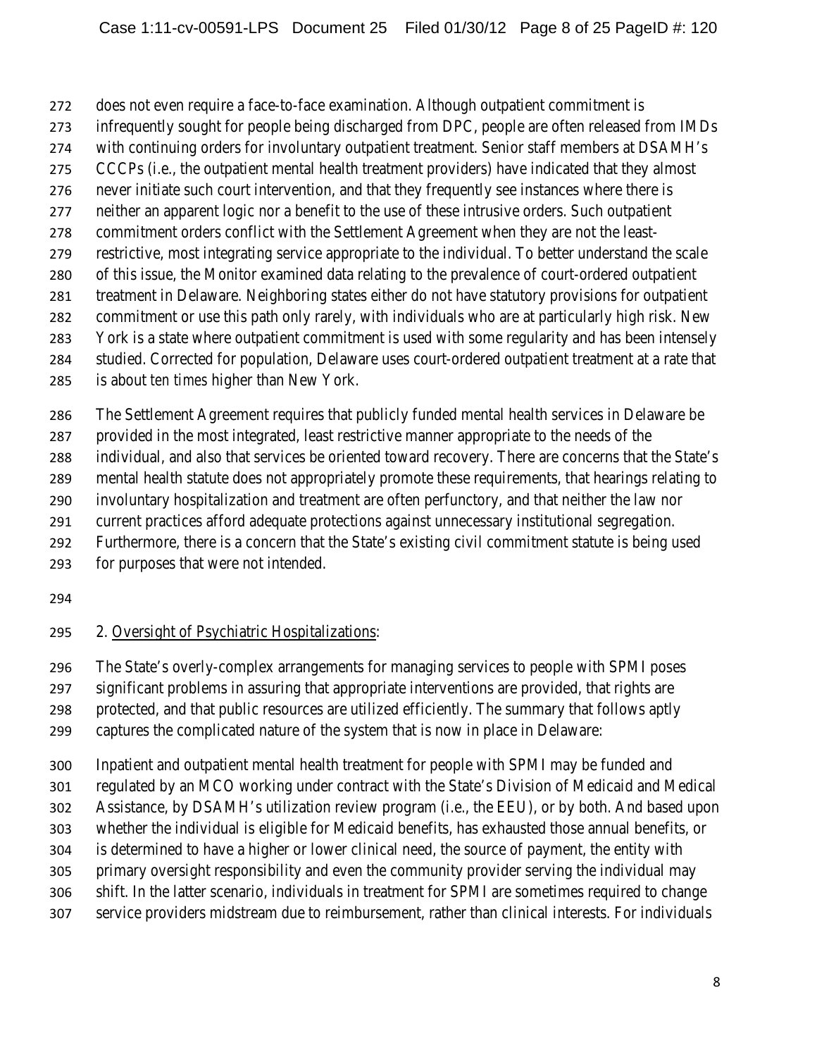does not even require a face-to-face examination. Although outpatient commitment is

- infrequently sought for people being discharged from DPC, people are often released from IMDs
- with continuing orders for involuntary outpatient treatment. Senior staff members at DSAMH's
- CCCPs (i.e., the outpatient mental health treatment providers) have indicated that they almost
- never initiate such court intervention, and that they frequently see instances where there is
- neither an apparent logic nor a benefit to the use of these intrusive orders. Such outpatient commitment orders conflict with the Settlement Agreement when they are not the least-
- restrictive, most integrating service appropriate to the individual. To better understand the scale
- of this issue, the Monitor examined data relating to the prevalence of court-ordered outpatient
- treatment in Delaware. Neighboring states either do not have statutory provisions for outpatient
- commitment or use this path only rarely, with individuals who are at particularly high risk. New
- York is a state where outpatient commitment is used with some regularity and has been intensely
- studied. Corrected for population, Delaware uses court-ordered outpatient treatment at a rate that
- is about *ten times* higher than New York.

The Settlement Agreement requires that publicly funded mental health services in Delaware be

- provided in the most integrated, least restrictive manner appropriate to the needs of the
- individual, and also that services be oriented toward recovery. There are concerns that the State's
- mental health statute does not appropriately promote these requirements, that hearings relating to
- involuntary hospitalization and treatment are often perfunctory, and that neither the law nor
- current practices afford adequate protections against unnecessary institutional segregation.
- Furthermore, there is a concern that the State's existing civil commitment statute is being used
- for purposes that were not intended.
- 

# 2. Oversight of Psychiatric Hospitalizations:

The State's overly-complex arrangements for managing services to people with SPMI poses

- significant problems in assuring that appropriate interventions are provided, that rights are
- protected, and that public resources are utilized efficiently. The summary that follows aptly

captures the complicated nature of the system that is now in place in Delaware:

 Inpatient and outpatient mental health treatment for people with SPMI may be funded and regulated by an MCO working under contract with the State's Division of Medicaid and Medical Assistance, by DSAMH's utilization review program (i.e., the EEU), or by both. And based upon whether the individual is eligible for Medicaid benefits, has exhausted those annual benefits, or is determined to have a higher or lower clinical need, the source of payment, the entity with primary oversight responsibility and even the community provider serving the individual may shift. In the latter scenario, individuals in treatment for SPMI are sometimes required to change service providers midstream due to reimbursement, rather than clinical interests. For individuals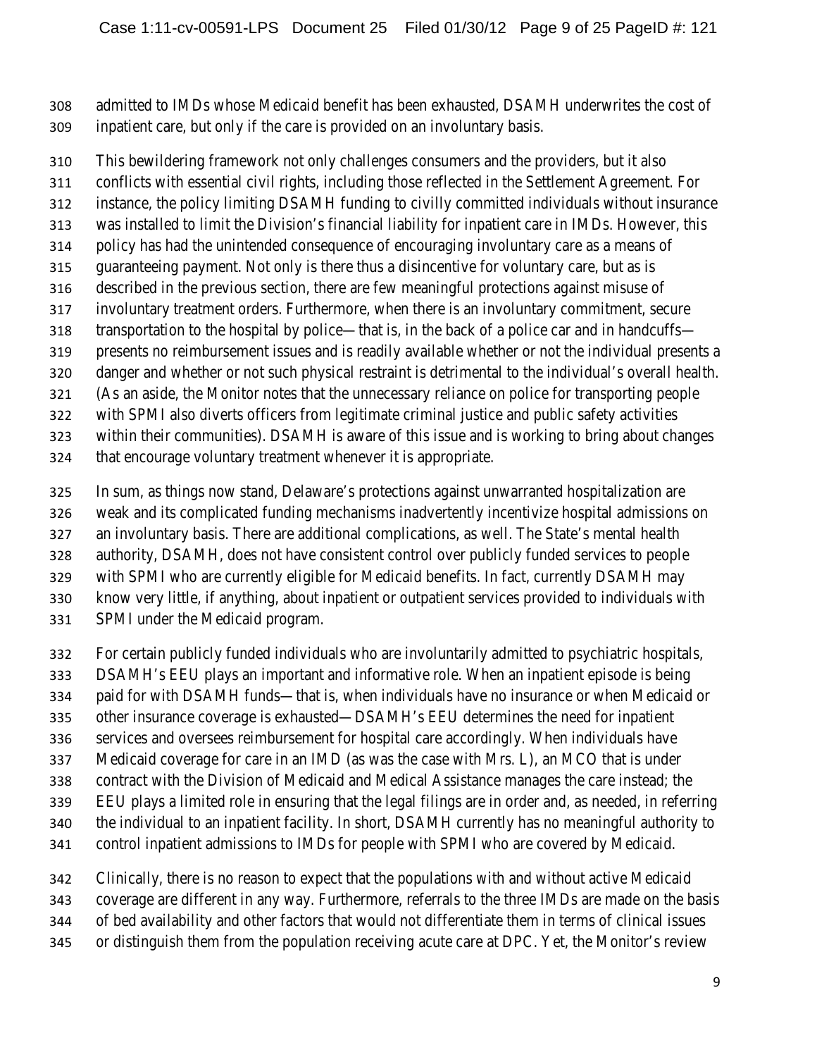admitted to IMDs whose Medicaid benefit has been exhausted, DSAMH underwrites the cost of inpatient care, but only if the care is provided on an involuntary basis.

 This bewildering framework not only challenges consumers and the providers, but it also conflicts with essential civil rights, including those reflected in the Settlement Agreement. For instance, the policy limiting DSAMH funding to civilly committed individuals without insurance was installed to limit the Division's financial liability for inpatient care in IMDs. However, this policy has had the unintended consequence of encouraging involuntary care as a means of guaranteeing payment. Not only is there thus a disincentive for voluntary care, but as is described in the previous section, there are few meaningful protections against misuse of involuntary treatment orders. Furthermore, when there is an involuntary commitment, secure transportation to the hospital by police—that is, in the back of a police car and in handcuffs— presents no reimbursement issues and is readily available whether or not the individual presents a danger and whether or not such physical restraint is detrimental to the individual's overall health. (As an aside, the Monitor notes that the unnecessary reliance on police for transporting people with SPMI also diverts officers from legitimate criminal justice and public safety activities within their communities). DSAMH is aware of this issue and is working to bring about changes

- that encourage voluntary treatment whenever it is appropriate.
- In sum, as things now stand, Delaware's protections against unwarranted hospitalization are
- weak and its complicated funding mechanisms inadvertently incentivize hospital admissions on
- an involuntary basis. There are additional complications, as well. The State's mental health
- authority, DSAMH, does not have consistent control over publicly funded services to people
- with SPMI who are currently eligible for Medicaid benefits. In fact, currently DSAMH may
- know very little, if anything, about inpatient or outpatient services provided to individuals with
- SPMI under the Medicaid program.
- For certain publicly funded individuals who are involuntarily admitted to psychiatric hospitals,
- DSAMH's EEU plays an important and informative role. When an inpatient episode is being
- paid for with DSAMH funds—that is, when individuals have no insurance or when Medicaid or
- other insurance coverage is exhausted—DSAMH's EEU determines the need for inpatient
- services and oversees reimbursement for hospital care accordingly. When individuals have
- Medicaid coverage for care in an IMD (as was the case with Mrs. L), an MCO that is under
- contract with the Division of Medicaid and Medical Assistance manages the care instead; the
- EEU plays a limited role in ensuring that the legal filings are in order and, as needed, in referring
- the individual to an inpatient facility. In short, DSAMH currently has no meaningful authority to
- control inpatient admissions to IMDs for people with SPMI who are covered by Medicaid.
- Clinically, there is no reason to expect that the populations with and without active Medicaid
- coverage are different in any way. Furthermore, referrals to the three IMDs are made on the basis
- of bed availability and other factors that would not differentiate them in terms of clinical issues
- or distinguish them from the population receiving acute care at DPC. Yet, the Monitor's review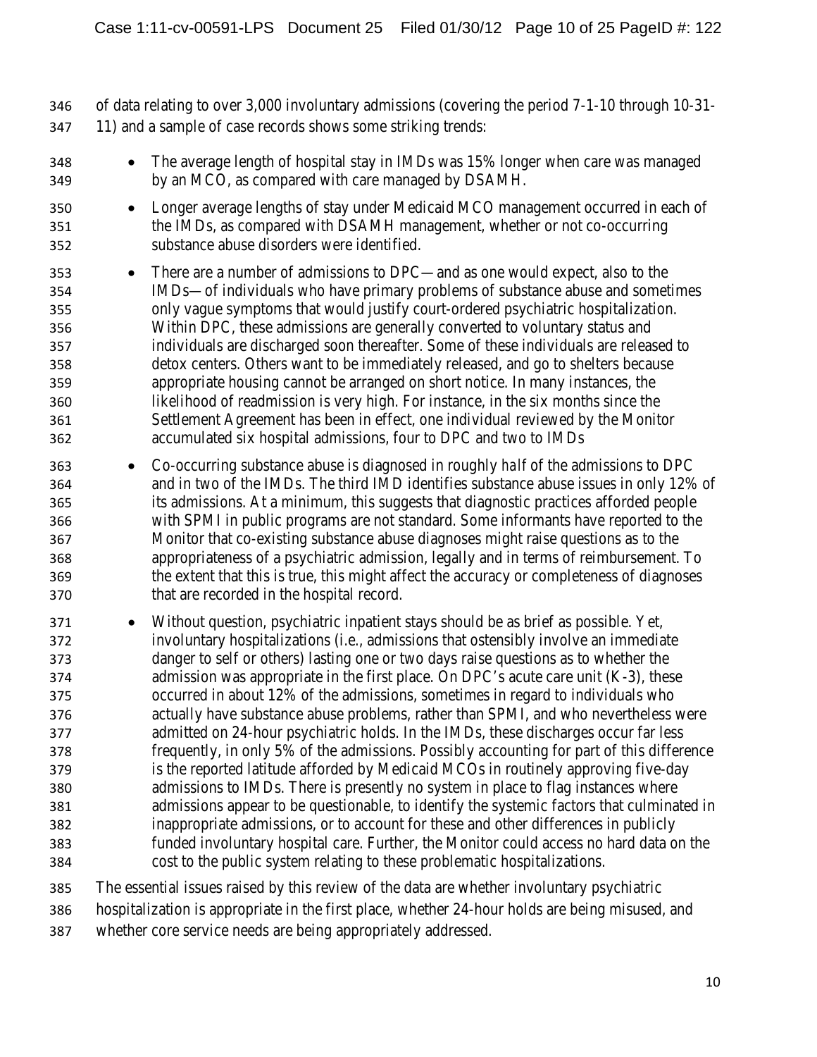of data relating to over 3,000 involuntary admissions (covering the period 7-1-10 through 10-31- 11) and a sample of case records shows some striking trends:

- The average length of hospital stay in IMDs was 15% longer when care was managed by an MCO, as compared with care managed by DSAMH.
- Longer average lengths of stay under Medicaid MCO management occurred in each of the IMDs, as compared with DSAMH management, whether or not co-occurring substance abuse disorders were identified.
- There are a number of admissions to DPC—and as one would expect, also to the IMDs—of individuals who have primary problems of substance abuse and sometimes only vague symptoms that would justify court-ordered psychiatric hospitalization. Within DPC, these admissions are generally converted to voluntary status and individuals are discharged soon thereafter. Some of these individuals are released to detox centers. Others want to be immediately released, and go to shelters because appropriate housing cannot be arranged on short notice. In many instances, the likelihood of readmission is very high. For instance, in the six months since the Settlement Agreement has been in effect, one individual reviewed by the Monitor accumulated six hospital admissions, four to DPC and two to IMDs
- Co-occurring substance abuse is diagnosed in roughly *half* of the admissions to DPC and in two of the IMDs. The third IMD identifies substance abuse issues in only 12% of its admissions. At a minimum, this suggests that diagnostic practices afforded people with SPMI in public programs are not standard. Some informants have reported to the Monitor that co-existing substance abuse diagnoses might raise questions as to the appropriateness of a psychiatric admission, legally and in terms of reimbursement. To the extent that this is true, this might affect the accuracy or completeness of diagnoses that are recorded in the hospital record.
- Without question, psychiatric inpatient stays should be as brief as possible. Yet, involuntary hospitalizations (i.e., admissions that ostensibly involve an immediate danger to self or others) lasting one or two days raise questions as to whether the admission was appropriate in the first place. On DPC's acute care unit (K-3), these occurred in about 12% of the admissions, sometimes in regard to individuals who actually have substance abuse problems, rather than SPMI, and who nevertheless were admitted on 24-hour psychiatric holds. In the IMDs, these discharges occur far less frequently, in only 5% of the admissions. Possibly accounting for part of this difference is the reported latitude afforded by Medicaid MCOs in routinely approving five-day admissions to IMDs. There is presently no system in place to flag instances where admissions appear to be questionable, to identify the systemic factors that culminated in inappropriate admissions, or to account for these and other differences in publicly funded involuntary hospital care. Further, the Monitor could access no hard data on the cost to the public system relating to these problematic hospitalizations.
- The essential issues raised by this review of the data are whether involuntary psychiatric
- hospitalization is appropriate in the first place, whether 24-hour holds are being misused, and
- whether core service needs are being appropriately addressed.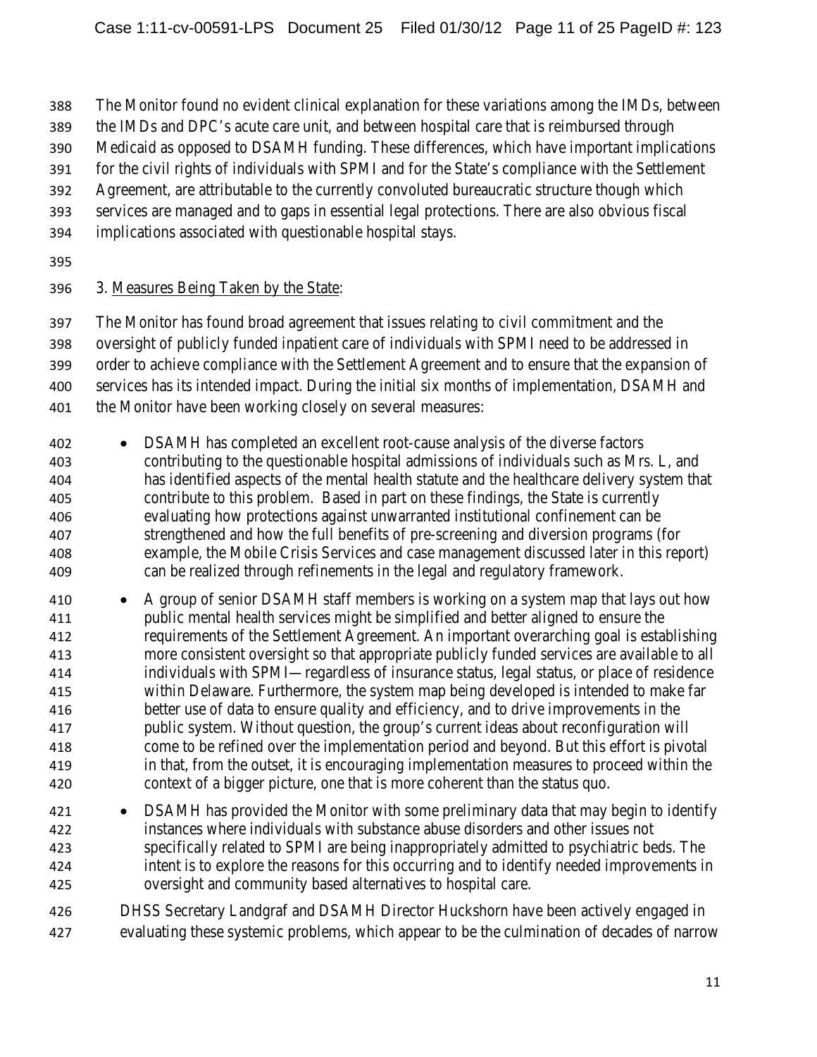The Monitor found no evident clinical explanation for these variations among the IMDs, between

- the IMDs and DPC's acute care unit, and between hospital care that is reimbursed through
- Medicaid as opposed to DSAMH funding. These differences, which have important implications
- for the civil rights of individuals with SPMI and for the State's compliance with the Settlement
- Agreement, are attributable to the currently convoluted bureaucratic structure though which
- services are managed and to gaps in essential legal protections. There are also obvious fiscal
- implications associated with questionable hospital stays.
- 

# 3. Measures Being Taken by the State:

 The Monitor has found broad agreement that issues relating to civil commitment and the oversight of publicly funded inpatient care of individuals with SPMI need to be addressed in order to achieve compliance with the Settlement Agreement and to ensure that the expansion of services has its intended impact. During the initial six months of implementation, DSAMH and 401 the Monitor have been working closely on several measures:

- DSAMH has completed an excellent root-cause analysis of the diverse factors contributing to the questionable hospital admissions of individuals such as Mrs. L, and has identified aspects of the mental health statute and the healthcare delivery system that contribute to this problem. Based in part on these findings, the State is currently evaluating how protections against unwarranted institutional confinement can be strengthened and how the full benefits of pre-screening and diversion programs (for example, the Mobile Crisis Services and case management discussed later in this report) can be realized through refinements in the legal and regulatory framework.
- A group of senior DSAMH staff members is working on a system map that lays out how public mental health services might be simplified and better aligned to ensure the requirements of the Settlement Agreement. An important overarching goal is establishing more consistent oversight so that appropriate publicly funded services are available to all individuals with SPMI—regardless of insurance status, legal status, or place of residence within Delaware. Furthermore, the system map being developed is intended to make far better use of data to ensure quality and efficiency, and to drive improvements in the public system. Without question, the group's current ideas about reconfiguration will come to be refined over the implementation period and beyond. But this effort is pivotal in that, from the outset, it is encouraging implementation measures to proceed within the context of a bigger picture, one that is more coherent than the status quo.
- DSAMH has provided the Monitor with some preliminary data that may begin to identify instances where individuals with substance abuse disorders and other issues not specifically related to SPMI are being inappropriately admitted to psychiatric beds. The intent is to explore the reasons for this occurring and to identify needed improvements in oversight and community based alternatives to hospital care.
- DHSS Secretary Landgraf and DSAMH Director Huckshorn have been actively engaged in evaluating these systemic problems, which appear to be the culmination of decades of narrow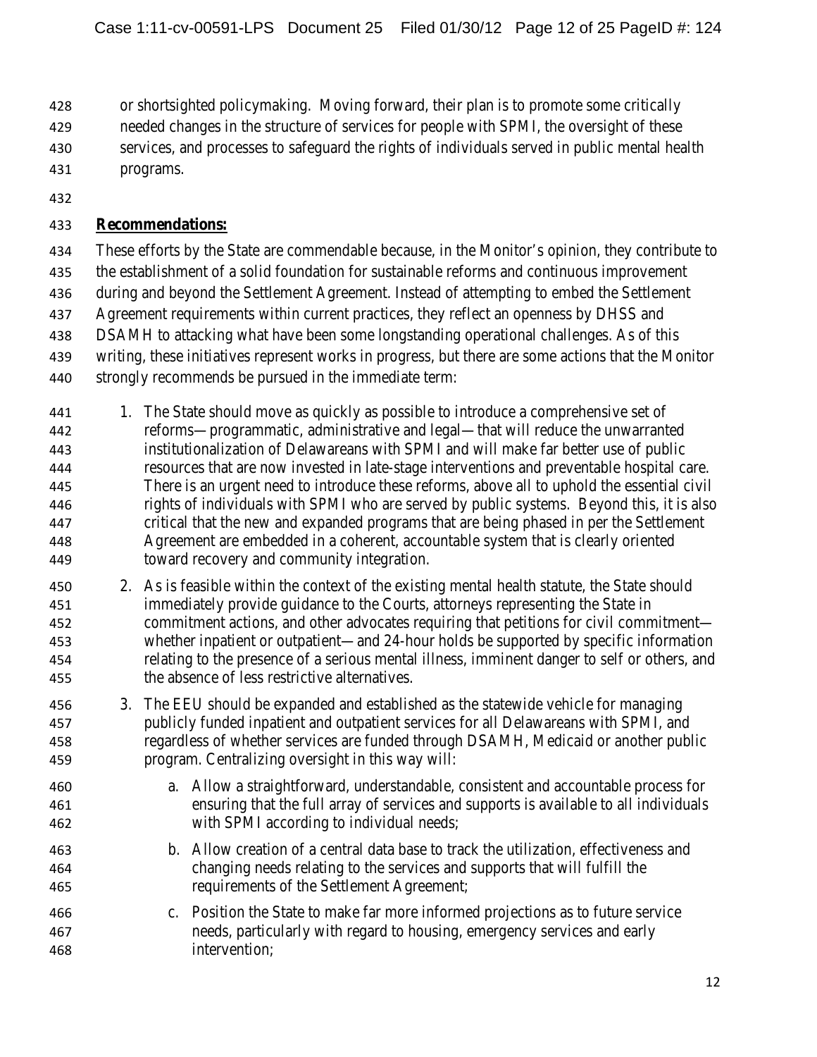or shortsighted policymaking. Moving forward, their plan is to promote some critically

- needed changes in the structure of services for people with SPMI, the oversight of these
- services, and processes to safeguard the rights of individuals served in public mental health
- programs.
- 

## **Recommendations:**

 These efforts by the State are commendable because, in the Monitor's opinion, they contribute to the establishment of a solid foundation for sustainable reforms and continuous improvement during and beyond the Settlement Agreement. Instead of attempting to embed the Settlement 437 Agreement requirements within current practices, they reflect an openness by DHSS and DSAMH to attacking what have been some longstanding operational challenges. As of this writing, these initiatives represent works in progress, but there are some actions that the Monitor strongly recommends be pursued in the immediate term:

- 441 1. The State should move as quickly as possible to introduce a comprehensive set of reforms—programmatic, administrative and legal—that will reduce the unwarranted institutionalization of Delawareans with SPMI and will make far better use of public resources that are now invested in late-stage interventions and preventable hospital care. There is an urgent need to introduce these reforms, above all to uphold the essential civil rights of individuals with SPMI who are served by public systems. Beyond this, it is also critical that the new and expanded programs that are being phased in per the Settlement Agreement are embedded in a coherent, accountable system that is clearly oriented toward recovery and community integration.
- 2. As is feasible within the context of the existing mental health statute, the State should immediately provide guidance to the Courts, attorneys representing the State in commitment actions, and other advocates requiring that petitions for civil commitment— whether inpatient or outpatient—and 24-hour holds be supported by specific information relating to the presence of a serious mental illness, imminent danger to self or others, and the absence of less restrictive alternatives.
- 3. The EEU should be expanded and established as the statewide vehicle for managing publicly funded inpatient and outpatient services for all Delawareans with SPMI, and regardless of whether services are funded through DSAMH, Medicaid or another public program. Centralizing oversight in this way will:
- a. Allow a straightforward, understandable, consistent and accountable process for ensuring that the full array of services and supports is available to all individuals with SPMI according to individual needs;
- b. Allow creation of a central data base to track the utilization, effectiveness and changing needs relating to the services and supports that will fulfill the requirements of the Settlement Agreement;
- c. Position the State to make far more informed projections as to future service needs, particularly with regard to housing, emergency services and early intervention;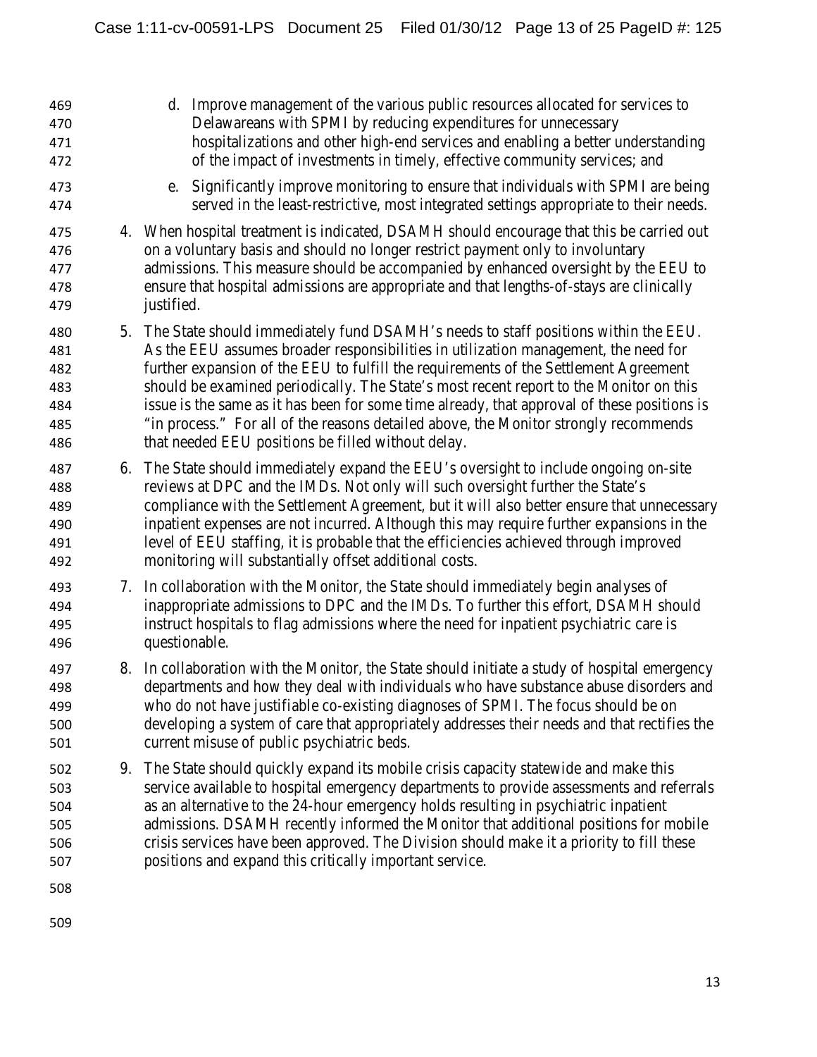| 469<br>470<br>471<br>472                      |    | d. Improve management of the various public resources allocated for services to<br>Delawareans with SPMI by reducing expenditures for unnecessary<br>hospitalizations and other high-end services and enabling a better understanding<br>of the impact of investments in timely, effective community services; and                                                                                                                                                                                                                                                                                          |
|-----------------------------------------------|----|-------------------------------------------------------------------------------------------------------------------------------------------------------------------------------------------------------------------------------------------------------------------------------------------------------------------------------------------------------------------------------------------------------------------------------------------------------------------------------------------------------------------------------------------------------------------------------------------------------------|
| 473<br>474                                    |    | Significantly improve monitoring to ensure that individuals with SPMI are being<br>e.<br>served in the least-restrictive, most integrated settings appropriate to their needs.                                                                                                                                                                                                                                                                                                                                                                                                                              |
| 475<br>476<br>477<br>478<br>479               |    | 4. When hospital treatment is indicated, DSAMH should encourage that this be carried out<br>on a voluntary basis and should no longer restrict payment only to involuntary<br>admissions. This measure should be accompanied by enhanced oversight by the EEU to<br>ensure that hospital admissions are appropriate and that lengths-of-stays are clinically<br>justified.                                                                                                                                                                                                                                  |
| 480<br>481<br>482<br>483<br>484<br>485<br>486 |    | 5. The State should immediately fund DSAMH's needs to staff positions within the EEU.<br>As the EEU assumes broader responsibilities in utilization management, the need for<br>further expansion of the EEU to fulfill the requirements of the Settlement Agreement<br>should be examined periodically. The State's most recent report to the Monitor on this<br>issue is the same as it has been for some time already, that approval of these positions is<br>"in process." For all of the reasons detailed above, the Monitor strongly recommends<br>that needed EEU positions be filled without delay. |
| 487<br>488<br>489<br>490<br>491<br>492        | 6. | The State should immediately expand the EEU's oversight to include ongoing on-site<br>reviews at DPC and the IMDs. Not only will such oversight further the State's<br>compliance with the Settlement Agreement, but it will also better ensure that unnecessary<br>inpatient expenses are not incurred. Although this may require further expansions in the<br>level of EEU staffing, it is probable that the efficiencies achieved through improved<br>monitoring will substantially offset additional costs.                                                                                             |
| 493<br>494<br>495<br>496                      |    | 7. In collaboration with the Monitor, the State should immediately begin analyses of<br>inappropriate admissions to DPC and the IMDs. To further this effort, DSAMH should<br>instruct hospitals to flag admissions where the need for inpatient psychiatric care is<br>questionable.                                                                                                                                                                                                                                                                                                                       |
| 497<br>498<br>499<br>500<br>501               |    | 8. In collaboration with the Monitor, the State should initiate a study of hospital emergency<br>departments and how they deal with individuals who have substance abuse disorders and<br>who do not have justifiable co-existing diagnoses of SPMI. The focus should be on<br>developing a system of care that appropriately addresses their needs and that rectifies the<br>current misuse of public psychiatric beds.                                                                                                                                                                                    |
| 502<br>503<br>504<br>505<br>506<br>507        | 9. | The State should quickly expand its mobile crisis capacity statewide and make this<br>service available to hospital emergency departments to provide assessments and referrals<br>as an alternative to the 24-hour emergency holds resulting in psychiatric inpatient<br>admissions. DSAMH recently informed the Monitor that additional positions for mobile<br>crisis services have been approved. The Division should make it a priority to fill these<br>positions and expand this critically important service.                                                                                        |
| 508                                           |    |                                                                                                                                                                                                                                                                                                                                                                                                                                                                                                                                                                                                             |
| 509                                           |    |                                                                                                                                                                                                                                                                                                                                                                                                                                                                                                                                                                                                             |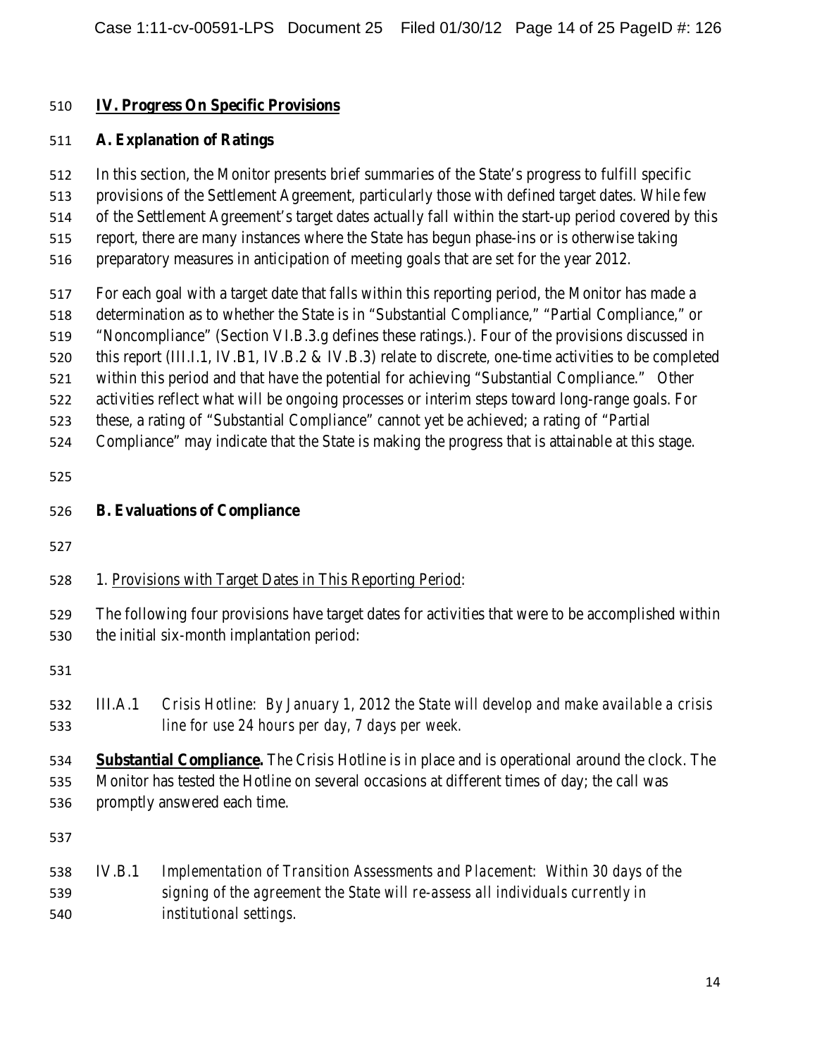### **IV. Progress On Specific Provisions**

#### **A. Explanation of Ratings**

 In this section, the Monitor presents brief summaries of the State's progress to fulfill specific provisions of the Settlement Agreement, particularly those with defined target dates. While few of the Settlement Agreement's target dates actually fall within the start-up period covered by this report, there are many instances where the State has begun phase-ins or is otherwise taking preparatory measures in anticipation of meeting goals that are set for the year 2012. For each goal with a target date that falls within this reporting period, the Monitor has made a determination as to whether the State is in "Substantial Compliance," "Partial Compliance," or "Noncompliance" (Section VI.B.3.g defines these ratings.). Four of the provisions discussed in 520 this report (III.I.1, IV.B1, IV.B.2 & IV.B.3) relate to discrete, one-time activities to be completed

within this period and that have the potential for achieving "Substantial Compliance." Other

activities reflect what will be ongoing processes or interim steps toward long-range goals. For

these, a rating of "Substantial Compliance" cannot yet be achieved; a rating of "Partial

Compliance" may indicate that the State is making the progress that is attainable at this stage.

| 526 |  | <b>B.</b> Evaluations of Compliance |  |  |
|-----|--|-------------------------------------|--|--|
|     |  |                                     |  |  |

## 1. Provisions with Target Dates in This Reporting Period:

 The following four provisions have target dates for activities that were to be accomplished within the initial six-month implantation period:

 III.A.1 *Crisis Hotline: By January 1, 2012 the State will develop and make available a crisis line for use 24 hours per day, 7 days per week.*

 **Substantial Compliance.** The Crisis Hotline is in place and is operational around the clock. The Monitor has tested the Hotline on several occasions at different times of day; the call was promptly answered each time.

## IV.B.1 *Implementation of Transition Assessments and Placement: Within 30 days of the signing of the agreement the State will re-assess all individuals currently in institutional settings.*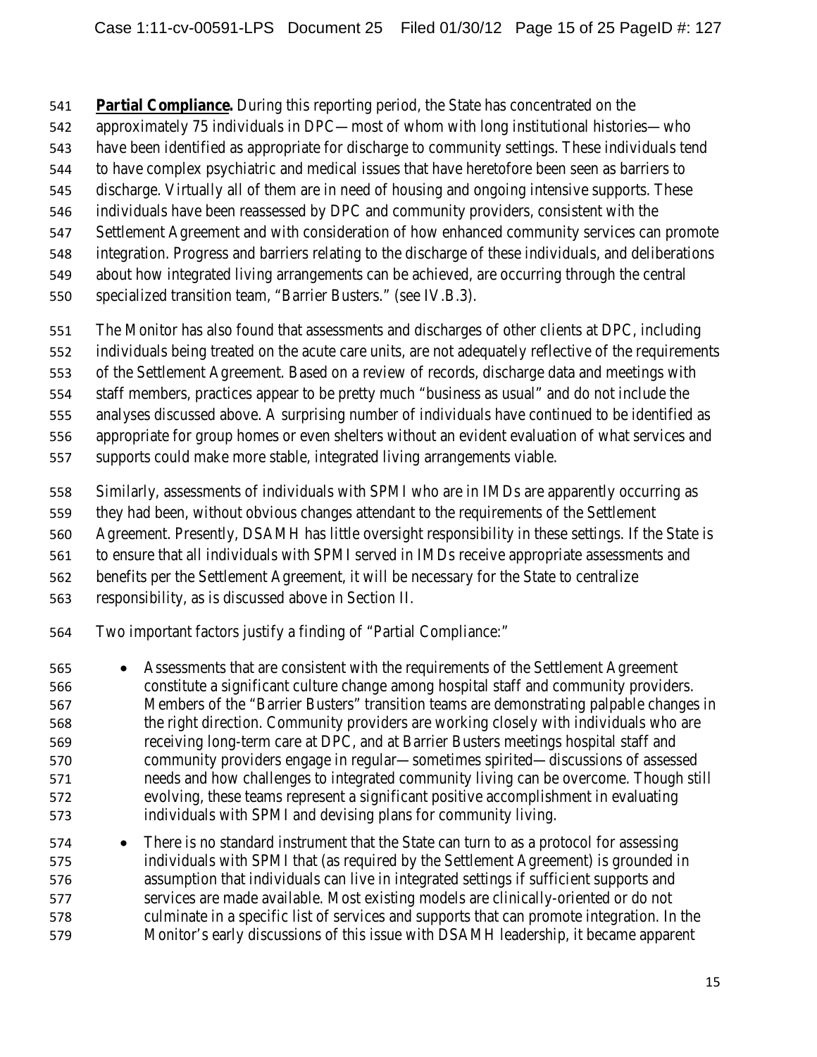**Partial Compliance.** During this reporting period, the State has concentrated on the

- approximately 75 individuals in DPC—most of whom with long institutional histories—who
- have been identified as appropriate for discharge to community settings. These individuals tend
- to have complex psychiatric and medical issues that have heretofore been seen as barriers to
- discharge. Virtually all of them are in need of housing and ongoing intensive supports. These
- individuals have been reassessed by DPC and community providers, consistent with the
- Settlement Agreement and with consideration of how enhanced community services can promote
- integration. Progress and barriers relating to the discharge of these individuals, and deliberations
- about how integrated living arrangements can be achieved, are occurring through the central
- specialized transition team, "Barrier Busters." (see IV.B.3).
- The Monitor has also found that assessments and discharges of other clients at DPC, including
- individuals being treated on the acute care units, are not adequately reflective of the requirements
- of the Settlement Agreement. Based on a review of records, discharge data and meetings with
- staff members, practices appear to be pretty much "business as usual" and do not include the
- analyses discussed above. A surprising number of individuals have continued to be identified as
- appropriate for group homes or even shelters without an evident evaluation of what services and
- supports could make more stable, integrated living arrangements viable.
- Similarly, assessments of individuals with SPMI who are in IMDs are apparently occurring as
- they had been, without obvious changes attendant to the requirements of the Settlement
- Agreement. Presently, DSAMH has little oversight responsibility in these settings. If the State is
- to ensure that all individuals with SPMI served in IMDs receive appropriate assessments and
- benefits per the Settlement Agreement, it will be necessary for the State to centralize
- responsibility, as is discussed above in Section II.
- Two important factors justify a finding of "Partial Compliance:"
- Assessments that are consistent with the requirements of the Settlement Agreement constitute a significant culture change among hospital staff and community providers. Members of the "Barrier Busters" transition teams are demonstrating palpable changes in the right direction. Community providers are working closely with individuals who are receiving long-term care at DPC, and at Barrier Busters meetings hospital staff and community providers engage in regular—sometimes spirited—discussions of assessed needs and how challenges to integrated community living can be overcome. Though still evolving, these teams represent a significant positive accomplishment in evaluating individuals with SPMI and devising plans for community living.
- 574 There is no standard instrument that the State can turn to as a protocol for assessing individuals with SPMI that (as required by the Settlement Agreement) is grounded in assumption that individuals can live in integrated settings if sufficient supports and services are made available. Most existing models are clinically-oriented or do not culminate in a specific list of services and supports that can promote integration. In the Monitor's early discussions of this issue with DSAMH leadership, it became apparent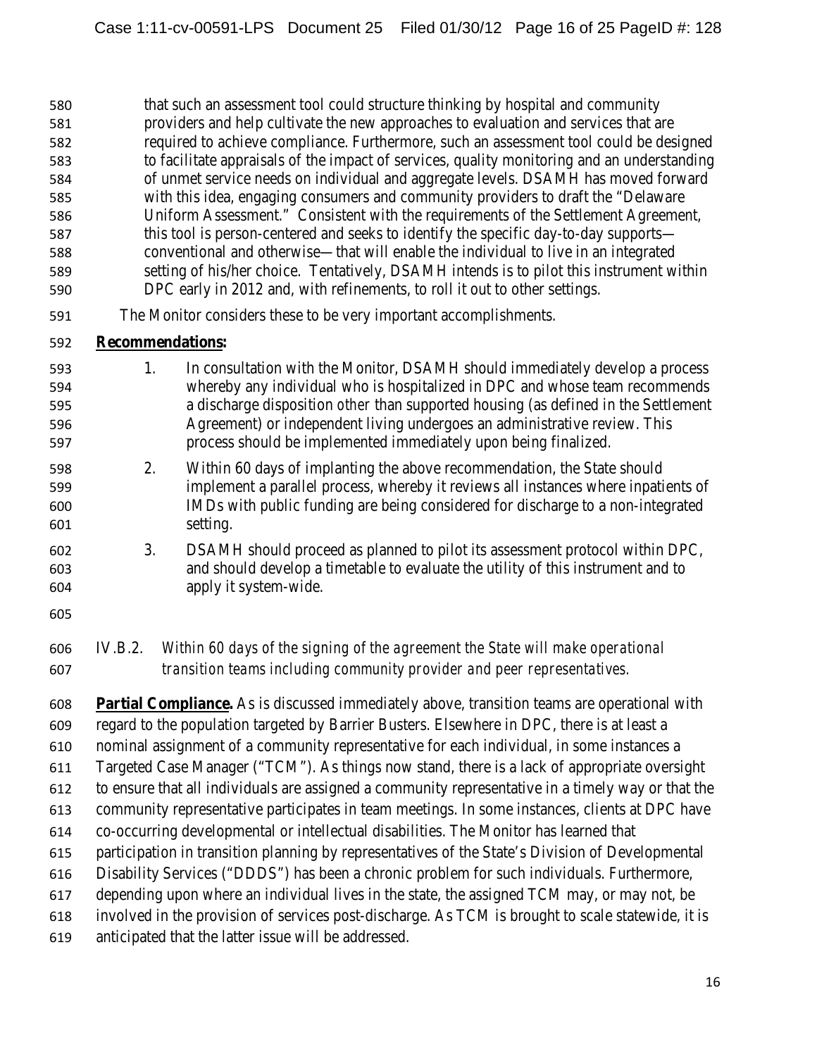that such an assessment tool could structure thinking by hospital and community providers and help cultivate the new approaches to evaluation and services that are required to achieve compliance. Furthermore, such an assessment tool could be designed to facilitate appraisals of the impact of services, quality monitoring and an understanding of unmet service needs on individual and aggregate levels. DSAMH has moved forward with this idea, engaging consumers and community providers to draft the "Delaware Uniform Assessment." Consistent with the requirements of the Settlement Agreement, 587 this tool is person-centered and seeks to identify the specific day-to-day supports— conventional and otherwise—that will enable the individual to live in an integrated setting of his/her choice. Tentatively, DSAMH intends is to pilot this instrument within DPC early in 2012 and, with refinements, to roll it out to other settings.

The Monitor considers these to be very important accomplishments.

#### **Recommendations:**

- 1. In consultation with the Monitor, DSAMH should immediately develop a process whereby any individual who is hospitalized in DPC and whose team recommends a discharge disposition *other* than supported housing (as defined in the Settlement Agreement) or independent living undergoes an administrative review. This process should be implemented immediately upon being finalized.
- 2. Within 60 days of implanting the above recommendation, the State should implement a parallel process, whereby it reviews all instances where inpatients of IMDs with public funding are being considered for discharge to a non-integrated setting.
- 3. DSAMH should proceed as planned to pilot its assessment protocol within DPC, and should develop a timetable to evaluate the utility of this instrument and to apply it system-wide.
- 
- IV.B.2. *Within 60 days of the signing of the agreement the State will make operational transition teams including community provider and peer representatives.*

 **Partial Compliance.** As is discussed immediately above, transition teams are operational with regard to the population targeted by Barrier Busters. Elsewhere in DPC, there is at least a

nominal assignment of a community representative for each individual, in some instances a

- Targeted Case Manager ("TCM"). As things now stand, there is a lack of appropriate oversight
- to ensure that all individuals are assigned a community representative in a timely way or that the
- community representative participates in team meetings. In some instances, clients at DPC have
- co-occurring developmental or intellectual disabilities. The Monitor has learned that
- participation in transition planning by representatives of the State's Division of Developmental
- Disability Services ("DDDS") has been a chronic problem for such individuals. Furthermore,
- depending upon where an individual lives in the state, the assigned TCM may, or may not, be
- involved in the provision of services post-discharge. As TCM is brought to scale statewide, it is
- anticipated that the latter issue will be addressed.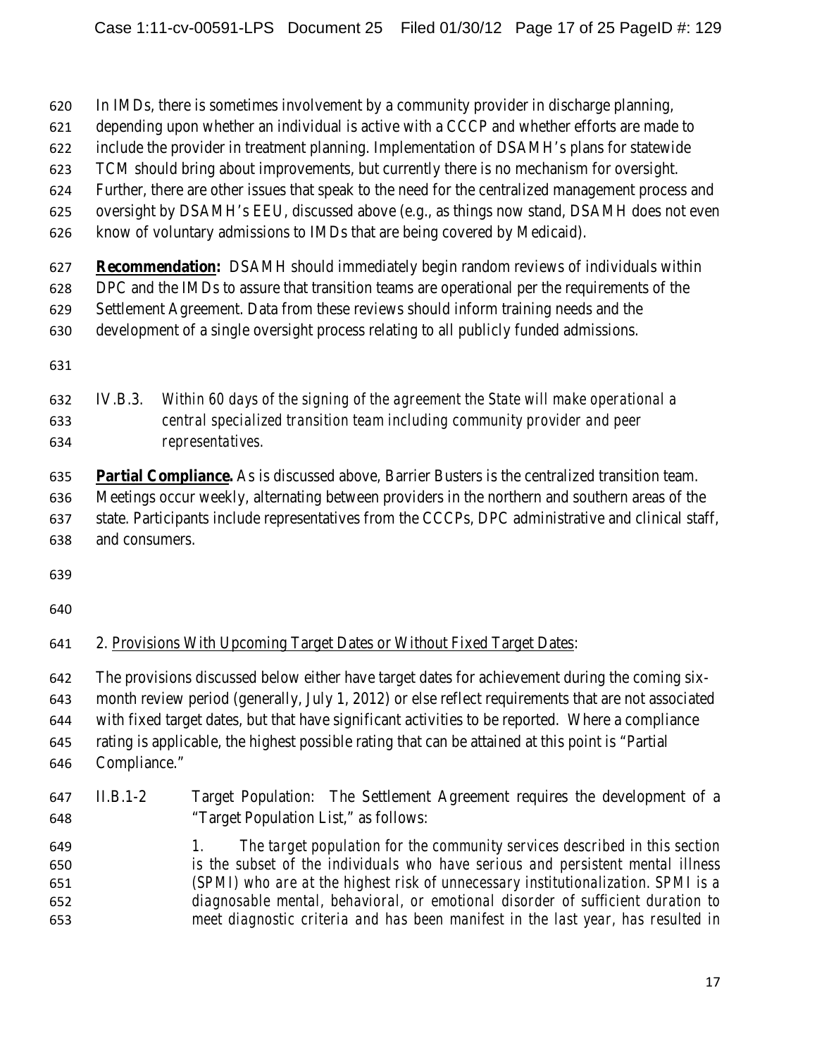In IMDs, there is sometimes involvement by a community provider in discharge planning,

- depending upon whether an individual is active with a CCCP and whether efforts are made to
- include the provider in treatment planning. Implementation of DSAMH's plans for statewide
- TCM should bring about improvements, but currently there is no mechanism for oversight.
- Further, there are other issues that speak to the need for the centralized management process and
- oversight by DSAMH's EEU, discussed above (e.g., as things now stand, DSAMH does not even
- know of voluntary admissions to IMDs that are being covered by Medicaid).

 **Recommendation:** DSAMH should immediately begin random reviews of individuals within DPC and the IMDs to assure that transition teams are operational per the requirements of the Settlement Agreement. Data from these reviews should inform training needs and the

- development of a single oversight process relating to all publicly funded admissions.
- 

# IV.B.3. *Within 60 days of the signing of the agreement the State will make operational a central specialized transition team including community provider and peer representatives.*

 **Partial Compliance.** As is discussed above, Barrier Busters is the centralized transition team. Meetings occur weekly, alternating between providers in the northern and southern areas of the state. Participants include representatives from the CCCPs, DPC administrative and clinical staff, and consumers.

# 2. Provisions With Upcoming Target Dates or Without Fixed Target Dates:

The provisions discussed below either have target dates for achievement during the coming six-

month review period (generally, July 1, 2012) or else reflect requirements that are not associated

with fixed target dates, but that have significant activities to be reported. Where a compliance

 rating is applicable, the highest possible rating that can be attained at this point is "Partial Compliance."

# II.B.1-2 Target Population: The Settlement Agreement requires the development of a "Target Population List," as follows: *1. The target population for the community services described in this section is the subset of the individuals who have serious and persistent mental illness (SPMI) who are at the highest risk of unnecessary institutionalization. SPMI is a diagnosable mental, behavioral, or emotional disorder of sufficient duration to meet diagnostic criteria and has been manifest in the last year, has resulted in*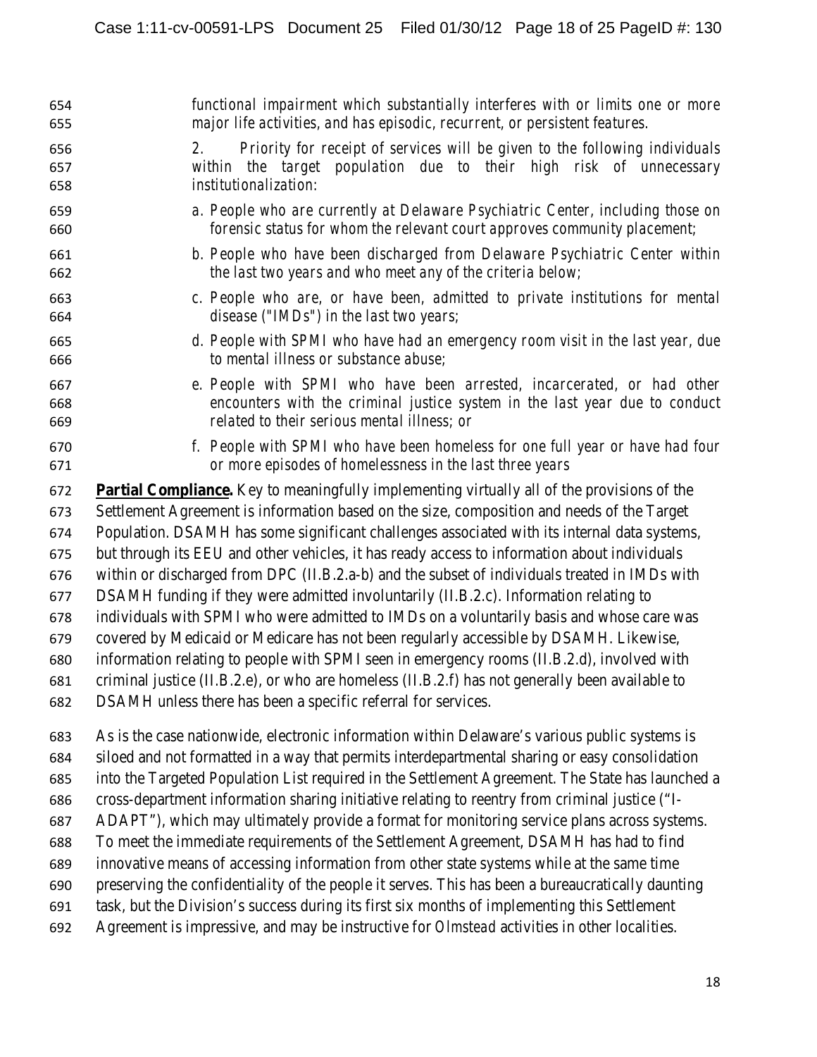| 654               | functional impairment which substantially interferes with or limits one or more                                                                                                  |
|-------------------|----------------------------------------------------------------------------------------------------------------------------------------------------------------------------------|
| 655               | major life activities, and has episodic, recurrent, or persistent features.                                                                                                      |
| 656<br>657<br>658 | 2.<br>Priority for receipt of services will be given to the following individuals<br>within the target population due to their high risk of unnecessary<br>institutionalization: |
| 659               | a. People who are currently at Delaware Psychiatric Center, including those on                                                                                                   |
| 660               | forensic status for whom the relevant court approves community placement;                                                                                                        |
| 661               | b. People who have been discharged from Delaware Psychiatric Center within                                                                                                       |
| 662               | the last two years and who meet any of the criteria below;                                                                                                                       |
| 663               | c. People who are, or have been, admitted to private institutions for mental                                                                                                     |
| 664               | disease ("IMDs") in the last two years;                                                                                                                                          |
| 665               | d. People with SPMI who have had an emergency room visit in the last year, due                                                                                                   |
| 666               | to mental illness or substance abuse;                                                                                                                                            |
| 667               | e. People with SPMI who have been arrested, incarcerated, or had other                                                                                                           |
| 668               | encounters with the criminal justice system in the last year due to conduct                                                                                                      |
| 669               | related to their serious mental illness; or                                                                                                                                      |
| 670               | f. People with SPMI who have been homeless for one full year or have had four                                                                                                    |
| 671               | or more episodes of homelessness in the last three years                                                                                                                         |

 **Partial Compliance.** Key to meaningfully implementing virtually all of the provisions of the Settlement Agreement is information based on the size, composition and needs of the Target Population. DSAMH has some significant challenges associated with its internal data systems, but through its EEU and other vehicles, it has ready access to information about individuals within or discharged from DPC (II.B.2.a-b) and the subset of individuals treated in IMDs with DSAMH funding if they were admitted involuntarily (II.B.2.c). Information relating to individuals with SPMI who were admitted to IMDs on a voluntarily basis and whose care was covered by Medicaid or Medicare has not been regularly accessible by DSAMH. Likewise, information relating to people with SPMI seen in emergency rooms (II.B.2.d), involved with criminal justice (II.B.2.e), or who are homeless (II.B.2.f) has not generally been available to DSAMH unless there has been a specific referral for services.

 As is the case nationwide, electronic information within Delaware's various public systems is siloed and not formatted in a way that permits interdepartmental sharing or easy consolidation into the Targeted Population List required in the Settlement Agreement. The State has launched a cross-department information sharing initiative relating to reentry from criminal justice ("I- ADAPT"), which may ultimately provide a format for monitoring service plans across systems. To meet the immediate requirements of the Settlement Agreement, DSAMH has had to find innovative means of accessing information from other state systems while at the same time preserving the confidentiality of the people it serves. This has been a bureaucratically daunting task, but the Division's success during its first six months of implementing this Settlement Agreement is impressive, and may be instructive for *Olmstead* activities in other localities.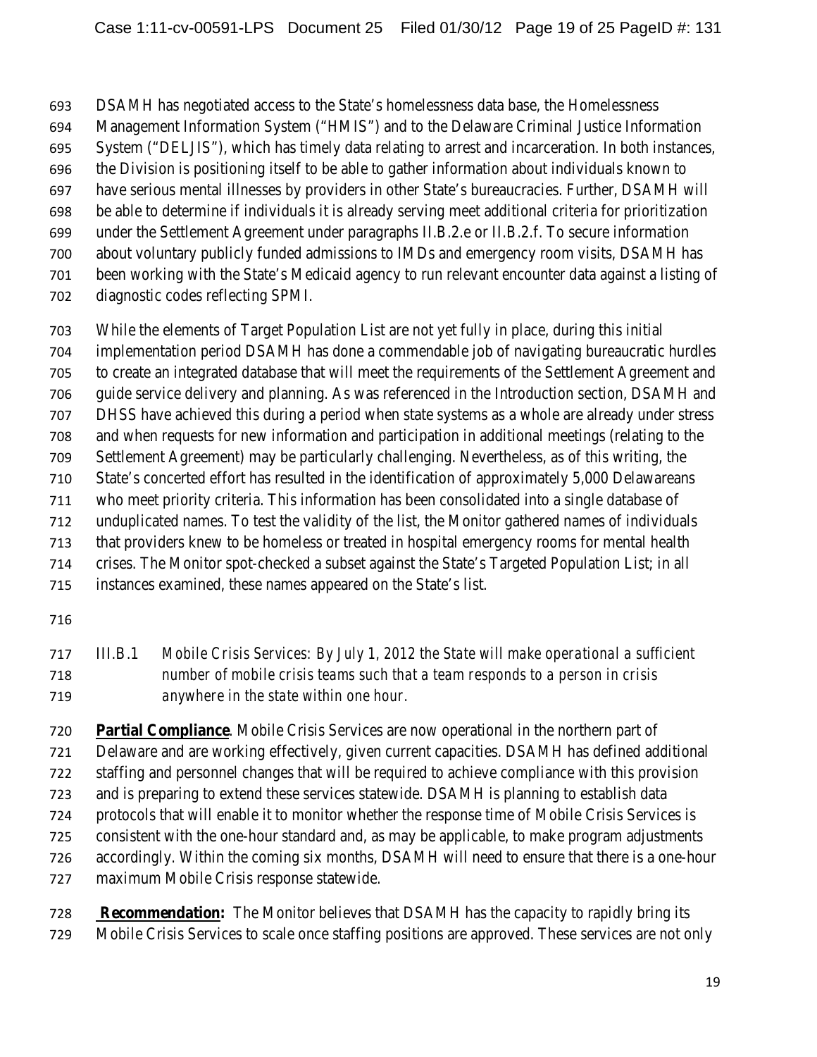DSAMH has negotiated access to the State's homelessness data base, the Homelessness

Management Information System ("HMIS") and to the Delaware Criminal Justice Information

System ("DELJIS"), which has timely data relating to arrest and incarceration. In both instances,

the Division is positioning itself to be able to gather information about individuals known to

 have serious mental illnesses by providers in other State's bureaucracies. Further, DSAMH will be able to determine if individuals it is already serving meet additional criteria for prioritization

under the Settlement Agreement under paragraphs II.B.2.e or II.B.2.f. To secure information

about voluntary publicly funded admissions to IMDs and emergency room visits, DSAMH has

been working with the State's Medicaid agency to run relevant encounter data against a listing of

diagnostic codes reflecting SPMI.

 While the elements of Target Population List are not yet fully in place, during this initial implementation period DSAMH has done a commendable job of navigating bureaucratic hurdles to create an integrated database that will meet the requirements of the Settlement Agreement and guide service delivery and planning. As was referenced in the Introduction section, DSAMH and DHSS have achieved this during a period when state systems as a whole are already under stress and when requests for new information and participation in additional meetings (relating to the

Settlement Agreement) may be particularly challenging. Nevertheless, as of this writing, the

 State's concerted effort has resulted in the identification of approximately 5,000 Delawareans who meet priority criteria. This information has been consolidated into a single database of

unduplicated names. To test the validity of the list, the Monitor gathered names of individuals

that providers knew to be homeless or treated in hospital emergency rooms for mental health

crises. The Monitor spot-checked a subset against the State's Targeted Population List; in all

 III.B.1 *Mobile Crisis Services: By July 1, 2012 the State will make operational a sufficient number of mobile crisis teams such that a team responds to a person in crisis anywhere in the state within one hour.*

 **Partial Compliance**. Mobile Crisis Services are now operational in the northern part of Delaware and are working effectively, given current capacities. DSAMH has defined additional staffing and personnel changes that will be required to achieve compliance with this provision and is preparing to extend these services statewide. DSAMH is planning to establish data protocols that will enable it to monitor whether the response time of Mobile Crisis Services is consistent with the one-hour standard and, as may be applicable, to make program adjustments accordingly. Within the coming six months, DSAMH will need to ensure that there is a one-hour maximum Mobile Crisis response statewide.

 **Recommendation:** The Monitor believes that DSAMH has the capacity to rapidly bring its Mobile Crisis Services to scale once staffing positions are approved. These services are not only

instances examined, these names appeared on the State's list.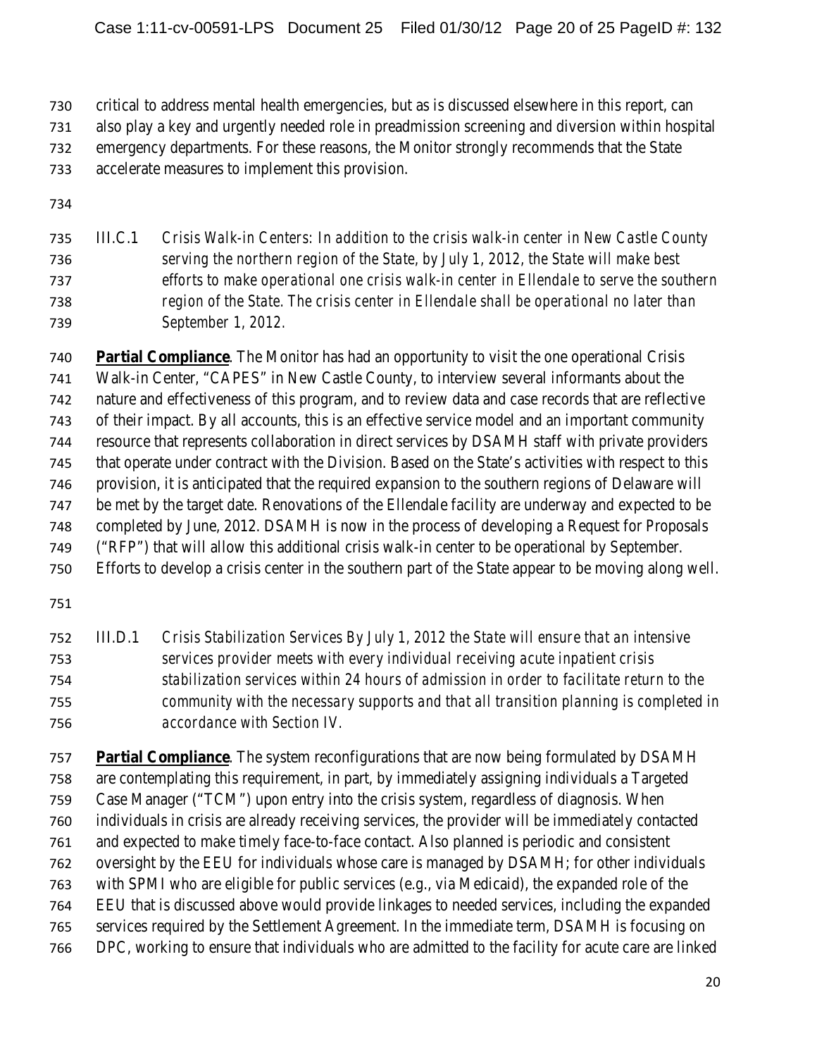critical to address mental health emergencies, but as is discussed elsewhere in this report, can also play a key and urgently needed role in preadmission screening and diversion within hospital emergency departments. For these reasons, the Monitor strongly recommends that the State accelerate measures to implement this provision.

| 735 | III.C.1 | Crisis Walk-in Centers: In addition to the crisis walk-in center in New Castle County    |
|-----|---------|------------------------------------------------------------------------------------------|
| 736 |         | serving the northern region of the State, by July 1, 2012, the State will make best      |
| 737 |         | efforts to make operational one crisis walk-in center in Ellendale to serve the southern |
| 738 |         | region of the State. The crisis center in Ellendale shall be operational no later than   |
| 739 |         | September 1, 2012.                                                                       |

 **Partial Compliance**. The Monitor has had an opportunity to visit the one operational Crisis Walk-in Center, "CAPES" in New Castle County, to interview several informants about the nature and effectiveness of this program, and to review data and case records that are reflective of their impact. By all accounts, this is an effective service model and an important community resource that represents collaboration in direct services by DSAMH staff with private providers that operate under contract with the Division. Based on the State's activities with respect to this provision, it is anticipated that the required expansion to the southern regions of Delaware will be met by the target date. Renovations of the Ellendale facility are underway and expected to be completed by June, 2012. DSAMH is now in the process of developing a Request for Proposals ("RFP") that will allow this additional crisis walk-in center to be operational by September. Efforts to develop a crisis center in the southern part of the State appear to be moving along well.

 III.D.1 *Crisis Stabilization Services By July 1, 2012 the State will ensure that an intensive services provider meets with every individual receiving acute inpatient crisis stabilization services within 24 hours of admission in order to facilitate return to the community with the necessary supports and that all transition planning is completed in accordance with Section IV.*

 **Partial Compliance**. The system reconfigurations that are now being formulated by DSAMH are contemplating this requirement, in part, by immediately assigning individuals a Targeted Case Manager ("TCM") upon entry into the crisis system, regardless of diagnosis. When individuals in crisis are already receiving services, the provider will be immediately contacted and expected to make timely face-to-face contact. Also planned is periodic and consistent oversight by the EEU for individuals whose care is managed by DSAMH; for other individuals with SPMI who are eligible for public services (e.g., via Medicaid), the expanded role of the EEU that is discussed above would provide linkages to needed services, including the expanded services required by the Settlement Agreement. In the immediate term, DSAMH is focusing on DPC, working to ensure that individuals who are admitted to the facility for acute care are linked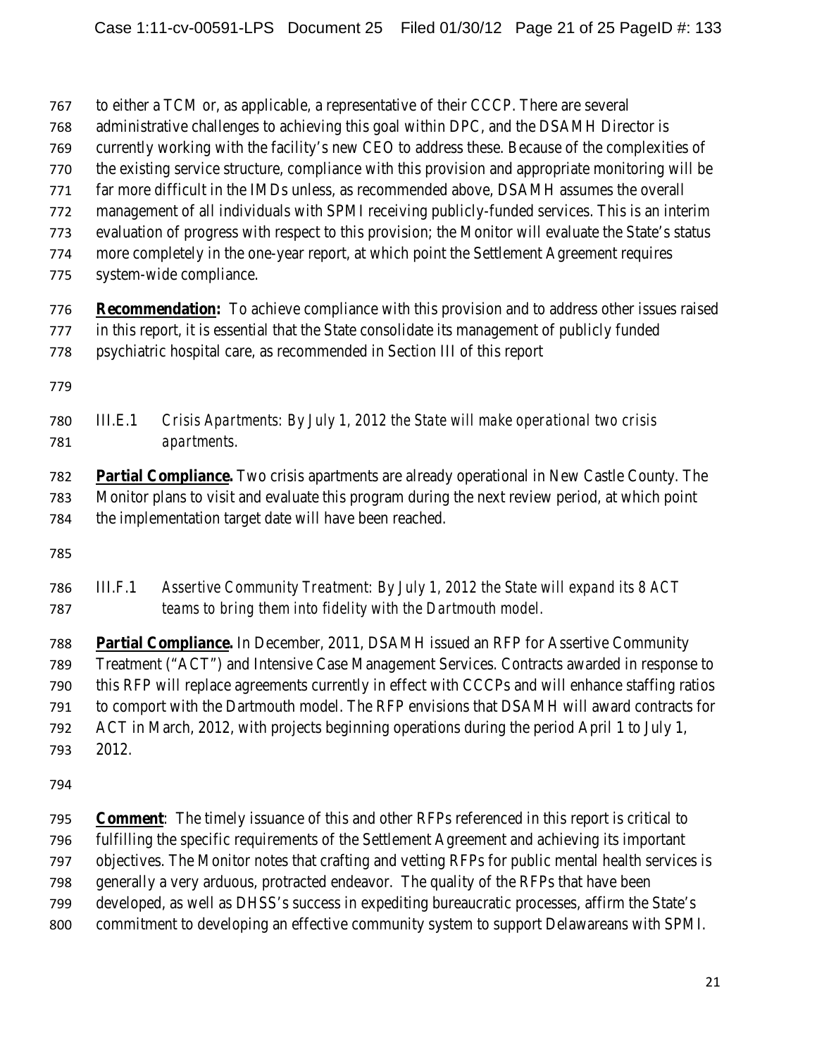to either a TCM or, as applicable, a representative of their CCCP. There are several

- administrative challenges to achieving this goal within DPC, and the DSAMH Director is
- currently working with the facility's new CEO to address these. Because of the complexities of
- the existing service structure, compliance with this provision and appropriate monitoring will be
- far more difficult in the IMDs unless, as recommended above, DSAMH assumes the overall
- management of all individuals with SPMI receiving publicly-funded services. This is an interim
- evaluation of progress with respect to this provision; the Monitor will evaluate the State's status more completely in the one-year report, at which point the Settlement Agreement requires
- system-wide compliance.
- **Recommendation:** To achieve compliance with this provision and to address other issues raised in this report, it is essential that the State consolidate its management of publicly funded psychiatric hospital care, as recommended in Section III of this report
- 

 III.E.1 *Crisis Apartments: By July 1, 2012 the State will make operational two crisis apartments.*

 **Partial Compliance.** Two crisis apartments are already operational in New Castle County. The Monitor plans to visit and evaluate this program during the next review period, at which point the implementation target date will have been reached.

 III.F.1 *Assertive Community Treatment: By July 1, 2012 the State will expand its 8 ACT teams to bring them into fidelity with the Dartmouth model.*

 **Partial Compliance.** In December, 2011, DSAMH issued an RFP for Assertive Community Treatment ("ACT") and Intensive Case Management Services. Contracts awarded in response to this RFP will replace agreements currently in effect with CCCPs and will enhance staffing ratios to comport with the Dartmouth model. The RFP envisions that DSAMH will award contracts for ACT in March, 2012, with projects beginning operations during the period April 1 to July 1, 2012.

 **Comment**: The timely issuance of this and other RFPs referenced in this report is critical to fulfilling the specific requirements of the Settlement Agreement and achieving its important objectives. The Monitor notes that crafting and vetting RFPs for public mental health services is generally a very arduous, protracted endeavor. The quality of the RFPs that have been developed, as well as DHSS's success in expediting bureaucratic processes, affirm the State's commitment to developing an effective community system to support Delawareans with SPMI.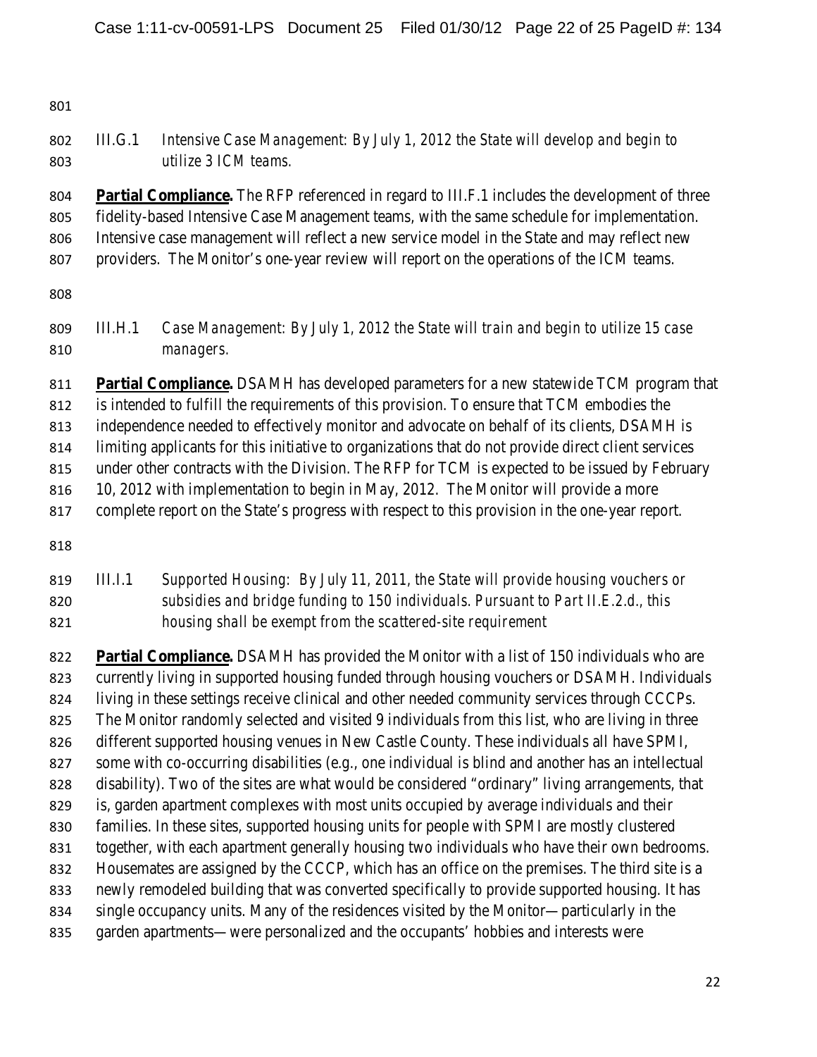## III.G.1 *Intensive Case Management: By July 1, 2012 the State will develop and begin to utilize 3 ICM teams.*

 **Partial Compliance.** The RFP referenced in regard to III.F.1 includes the development of three fidelity-based Intensive Case Management teams, with the same schedule for implementation. Intensive case management will reflect a new service model in the State and may reflect new providers. The Monitor's one-year review will report on the operations of the ICM teams.

- 
- III.H.1 *Case Management: By July 1, 2012 the State will train and begin to utilize 15 case managers.*

 **Partial Compliance.** DSAMH has developed parameters for a new statewide TCM program that is intended to fulfill the requirements of this provision. To ensure that TCM embodies the independence needed to effectively monitor and advocate on behalf of its clients, DSAMH is limiting applicants for this initiative to organizations that do not provide direct client services under other contracts with the Division. The RFP for TCM is expected to be issued by February 816 10, 2012 with implementation to begin in May, 2012. The Monitor will provide a more complete report on the State's progress with respect to this provision in the one-year report.

 III.I.1 *Supported Housing: By July 11, 2011, the State will provide housing vouchers or subsidies and bridge funding to 150 individuals. Pursuant to Part II.E.2.d., this housing shall be exempt from the scattered-site requirement*

 **Partial Compliance.** DSAMH has provided the Monitor with a list of 150 individuals who are currently living in supported housing funded through housing vouchers or DSAMH. Individuals living in these settings receive clinical and other needed community services through CCCPs. The Monitor randomly selected and visited 9 individuals from this list, who are living in three different supported housing venues in New Castle County. These individuals all have SPMI, some with co-occurring disabilities (e.g., one individual is blind and another has an intellectual disability). Two of the sites are what would be considered "ordinary" living arrangements, that is, garden apartment complexes with most units occupied by average individuals and their families. In these sites, supported housing units for people with SPMI are mostly clustered together, with each apartment generally housing two individuals who have their own bedrooms. Housemates are assigned by the CCCP, which has an office on the premises. The third site is a newly remodeled building that was converted specifically to provide supported housing. It has single occupancy units. Many of the residences visited by the Monitor—particularly in the garden apartments—were personalized and the occupants' hobbies and interests were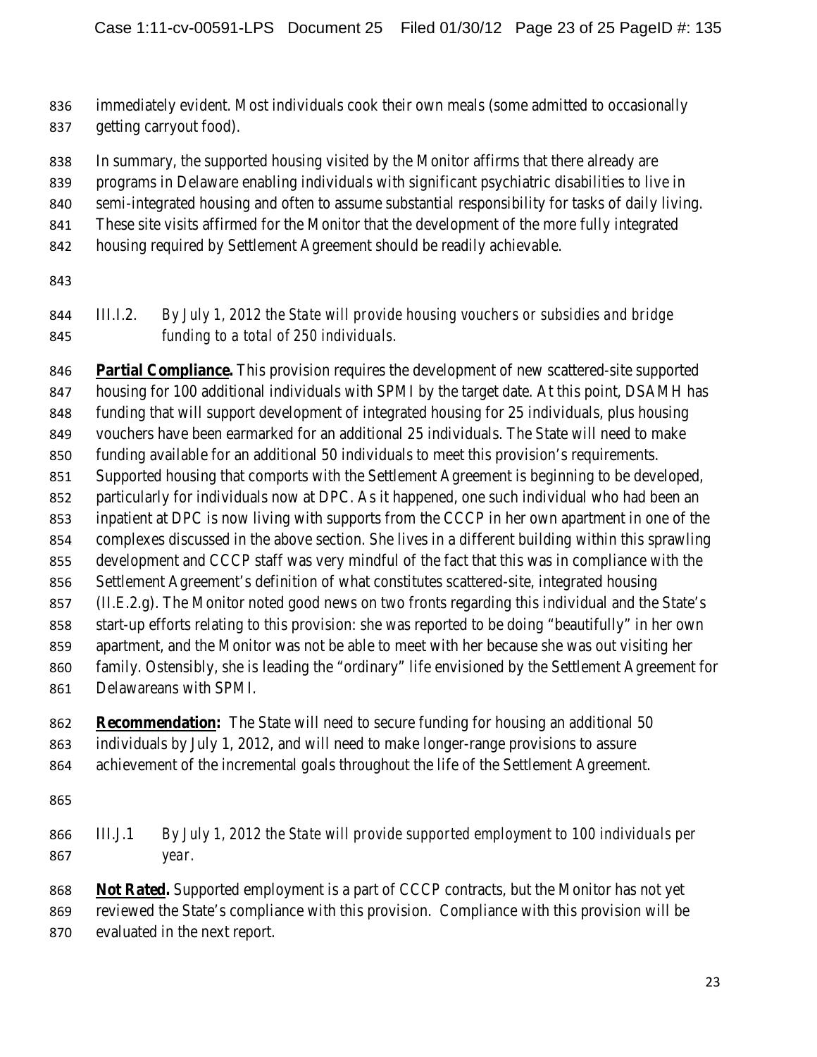immediately evident. Most individuals cook their own meals (some admitted to occasionally getting carryout food).

In summary, the supported housing visited by the Monitor affirms that there already are

- programs in Delaware enabling individuals with significant psychiatric disabilities to live in
- semi-integrated housing and often to assume substantial responsibility for tasks of daily living.
- These site visits affirmed for the Monitor that the development of the more fully integrated
- housing required by Settlement Agreement should be readily achievable.
- 

## III.I.2. *By July 1, 2012 the State will provide housing vouchers or subsidies and bridge funding to a total of 250 individuals.*

 **Partial Compliance.** This provision requires the development of new scattered-site supported housing for 100 additional individuals with SPMI by the target date. At this point, DSAMH has funding that will support development of integrated housing for 25 individuals, plus housing vouchers have been earmarked for an additional 25 individuals. The State will need to make funding available for an additional 50 individuals to meet this provision's requirements. Supported housing that comports with the Settlement Agreement is beginning to be developed, particularly for individuals now at DPC. As it happened, one such individual who had been an inpatient at DPC is now living with supports from the CCCP in her own apartment in one of the complexes discussed in the above section. She lives in a different building within this sprawling development and CCCP staff was very mindful of the fact that this was in compliance with the Settlement Agreement's definition of what constitutes scattered-site, integrated housing (II.E.2.g). The Monitor noted good news on two fronts regarding this individual and the State's start-up efforts relating to this provision: she was reported to be doing "beautifully" in her own apartment, and the Monitor was not be able to meet with her because she was out visiting her family. Ostensibly, she is leading the "ordinary" life envisioned by the Settlement Agreement for Delawareans with SPMI.

### **Recommendation:** The State will need to secure funding for housing an additional 50 individuals by July 1, 2012, and will need to make longer-range provisions to assure achievement of the incremental goals throughout the life of the Settlement Agreement.

- 
- III.J.1 *By July 1, 2012 the State will provide supported employment to 100 individuals per year.*

 **Not Rated.** Supported employment is a part of CCCP contracts, but the Monitor has not yet reviewed the State's compliance with this provision. Compliance with this provision will be evaluated in the next report.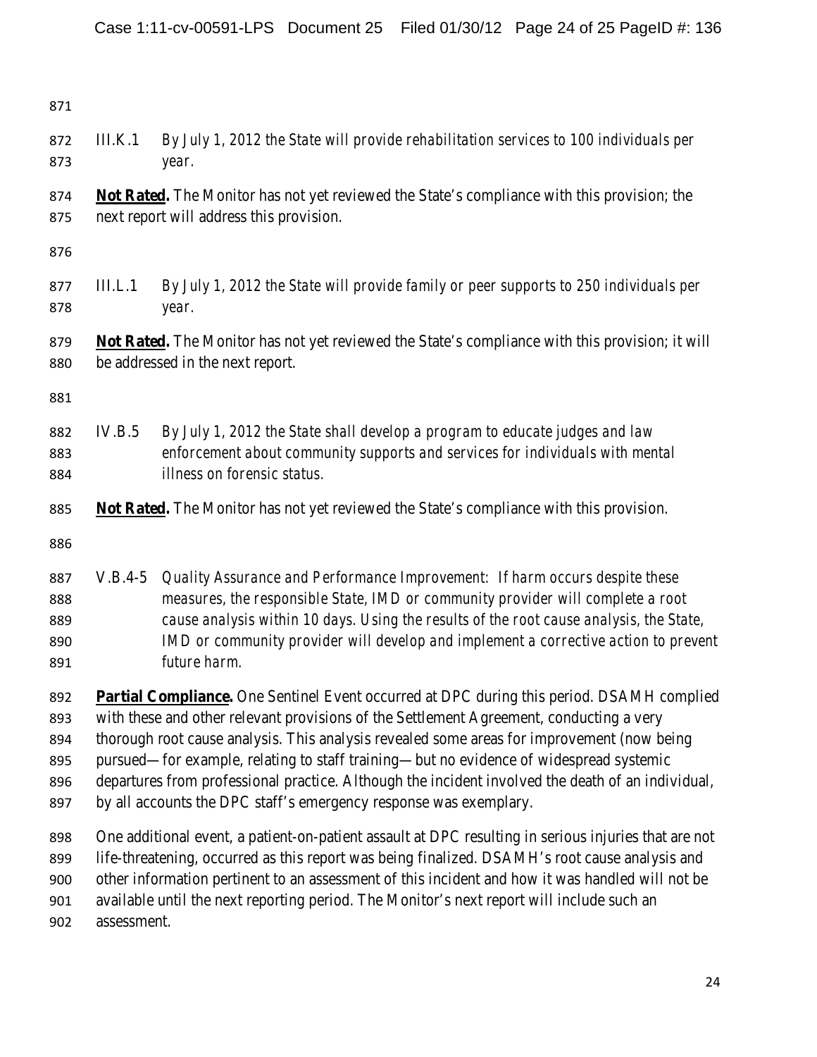III.K.1 *By July 1, 2012 the State will provide rehabilitation services to 100 individuals per year.* **Not Rated.** The Monitor has not yet reviewed the State's compliance with this provision; the next report will address this provision. III.L.1 *By July 1, 2012 the State will provide family or peer supports to 250 individuals per year.* **Not Rated.** The Monitor has not yet reviewed the State's compliance with this provision; it will be addressed in the next report. IV.B.5 *By July 1, 2012 the State shall develop a program to educate judges and law enforcement about community supports and services for individuals with mental illness on forensic status.* **Not Rated.** The Monitor has not yet reviewed the State's compliance with this provision. V.B.4-5 *Quality Assurance and Performance Improvement: If harm occurs despite these measures, the responsible State, IMD or community provider will complete a root cause analysis within 10 days. Using the results of the root cause analysis, the State, IMD or community provider will develop and implement a corrective action to prevent future harm.*  **Partial Compliance.** One Sentinel Event occurred at DPC during this period. DSAMH complied with these and other relevant provisions of the Settlement Agreement, conducting a very thorough root cause analysis. This analysis revealed some areas for improvement (now being pursued—for example, relating to staff training—but no evidence of widespread systemic departures from professional practice. Although the incident involved the death of an individual, 897 by all accounts the DPC staff's emergency response was exemplary. One additional event, a patient-on-patient assault at DPC resulting in serious injuries that are not life-threatening, occurred as this report was being finalized. DSAMH's root cause analysis and other information pertinent to an assessment of this incident and how it was handled will not be

available until the next reporting period. The Monitor's next report will include such an

assessment.